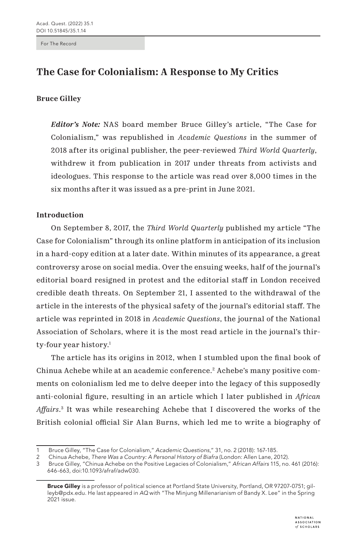For The Record

# **The Case for Colonialism: A Response to My Critics**

# **Bruce Gilley**

*Editor's Note:* NAS board member Bruce Gilley's article, "The Case for Colonialism," was republished in *Academic Questions* in the summer of 2018 after its original publisher, the peer-reviewed *Third World Quarterly*, withdrew it from publication in 2017 under threats from activists and ideologues. This response to the article was read over 8,000 times in the six months after it was issued as a pre-print in June 2021.

# **Introduction**

On September 8, 2017, the *Third World Quarterly* published my article "The Case for Colonialism" through its online platform in anticipation of its inclusion in a hard-copy edition at a later date. Within minutes of its appearance, a great controversy arose on social media. Over the ensuing weeks, half of the journal's editorial board resigned in protest and the editorial staff in London received credible death threats. On September 21, I assented to the withdrawal of the article in the interests of the physical safety of the journal's editorial staff. The article was reprinted in 2018 in *Academic Questions*, the journal of the National Association of Scholars, where it is the most read article in the journal's thirty-four year history.1

The article has its origins in 2012, when I stumbled upon the final book of Chinua Achebe while at an academic conference.<sup>2</sup> Achebe's many positive comments on colonialism led me to delve deeper into the legacy of this supposedly anti-colonial figure, resulting in an article which I later published in *African Affairs*. 3 It was while researching Achebe that I discovered the works of the British colonial official Sir Alan Burns, which led me to write a biography of

<sup>1</sup> Bruce Gilley, "The Case for Colonialism," *Academic Questions*," 31, no. 2 (2018): 167-185.

<sup>2</sup> Chinua Achebe, *There Was a Country: A Personal History of Biafra* (London: Allen Lane, 2012).

<sup>3</sup> Bruce Gilley, "Chinua Achebe on the Positive Legacies of Colonialism," *African Affairs* 115, no. 461 (2016): 646-663, doi:10.1093/afraf/adw030.

Bruce Gilley is a professor of political science at Portland State University, Portland, OR 97207-0751; gilleyb@pdx.edu. He last appeared in *AQ* with "The Minjung Millenarianism of Bandy X. Lee" in the Spring 2021 issue.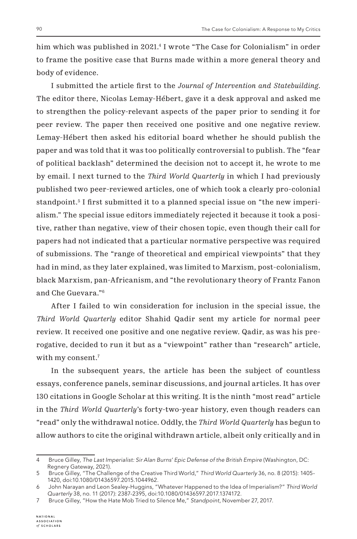him which was published in 2021.4 I wrote "The Case for Colonialism" in order to frame the positive case that Burns made within a more general theory and body of evidence.

I submitted the article first to the *Journal of Intervention and Statebuilding*. The editor there, Nicolas Lemay-Hébert, gave it a desk approval and asked me to strengthen the policy-relevant aspects of the paper prior to sending it for peer review. The paper then received one positive and one negative review. Lemay-Hébert then asked his editorial board whether he should publish the paper and was told that it was too politically controversial to publish. The "fear of political backlash" determined the decision not to accept it, he wrote to me by email. I next turned to the *Third World Quarterly* in which I had previously published two peer-reviewed articles, one of which took a clearly pro-colonial standpoint.5 I first submitted it to a planned special issue on "the new imperialism." The special issue editors immediately rejected it because it took a positive, rather than negative, view of their chosen topic, even though their call for papers had not indicated that a particular normative perspective was required of submissions. The "range of theoretical and empirical viewpoints" that they had in mind, as they later explained, was limited to Marxism, post-colonialism, black Marxism, pan-Africanism, and "the revolutionary theory of Frantz Fanon and Che Guevara."6

After I failed to win consideration for inclusion in the special issue, the *Third World Quarterly* editor Shahid Qadir sent my article for normal peer review. It received one positive and one negative review. Qadir, as was his prerogative, decided to run it but as a "viewpoint" rather than "research" article, with my consent.<sup>7</sup>

In the subsequent years, the article has been the subject of countless essays, conference panels, seminar discussions, and journal articles. It has over 130 citations in Google Scholar at this writing. It is the ninth "most read" article in the *Third World Quarterly*'s forty-two-year history, even though readers can "read" only the withdrawal notice. Oddly, the *Third World Quarterly* has begun to allow authors to cite the original withdrawn article, albeit only critically and in

<sup>4</sup> Bruce Gilley, *The Last Imperialist: Sir Alan Burns' Epic Defense of the British Empire* (Washington, DC: Regnery Gateway, 2021).

<sup>5</sup> Bruce Gilley, "The Challenge of the Creative Third World," *Third World Quarterly* 36, no. 8 (2015): 1405- 1420, doi:10.1080/01436597.2015.1044962.

<sup>6</sup> John Narayan and Leon Sealey-Huggins, "Whatever Happened to the Idea of Imperialism?" *Third World Quarterly* 38, no. 11 (2017): 2387-2395, doi:10.1080/01436597.2017.1374172.

<sup>7</sup> Bruce Gilley, "How the Hate Mob Tried to Silence Me," *Standpoint*, November 27, 2017.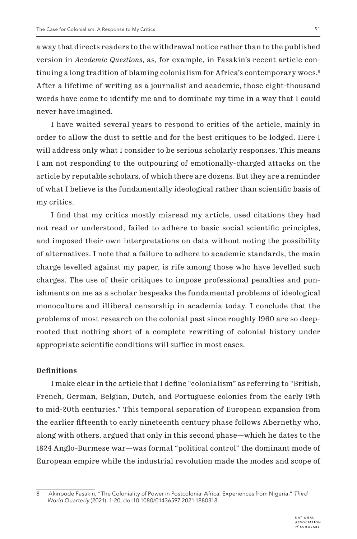a way that directs readers to the withdrawal notice rather than to the published version in *Academic Questions*, as, for example, in Fasakin's recent article continuing a long tradition of blaming colonialism for Africa's contemporary woes.<sup>8</sup> After a lifetime of writing as a journalist and academic, those eight-thousand words have come to identify me and to dominate my time in a way that I could never have imagined.

I have waited several years to respond to critics of the article, mainly in order to allow the dust to settle and for the best critiques to be lodged. Here I will address only what I consider to be serious scholarly responses. This means I am not responding to the outpouring of emotionally-charged attacks on the article by reputable scholars, of which there are dozens. But they are a reminder of what I believe is the fundamentally ideological rather than scientific basis of my critics.

I find that my critics mostly misread my article, used citations they had not read or understood, failed to adhere to basic social scientific principles, and imposed their own interpretations on data without noting the possibility of alternatives. I note that a failure to adhere to academic standards, the main charge levelled against my paper, is rife among those who have levelled such charges. The use of their critiques to impose professional penalties and punishments on me as a scholar bespeaks the fundamental problems of ideological monoculture and illiberal censorship in academia today. I conclude that the problems of most research on the colonial past since roughly 1960 are so deeprooted that nothing short of a complete rewriting of colonial history under appropriate scientific conditions will suffice in most cases.

### **Definitions**

I make clear in the article that I define "colonialism" as referring to "British, French, German, Belgian, Dutch, and Portuguese colonies from the early 19th to mid-20th centuries." This temporal separation of European expansion from the earlier fifteenth to early nineteenth century phase follows Abernethy who, along with others, argued that only in this second phase—which he dates to the 1824 Anglo-Burmese war—was formal "political control" the dominant mode of European empire while the industrial revolution made the modes and scope of

<sup>8</sup> Akinbode Fasakin, "The Coloniality of Power in Postcolonial Africa: Experiences from Nigeria," *Third World Quarterly* (2021): 1-20, doi:10.1080/01436597.2021.1880318.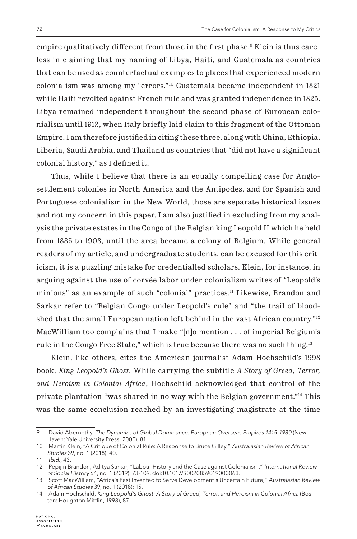empire qualitatively different from those in the first phase.<sup>9</sup> Klein is thus careless in claiming that my naming of Libya, Haiti, and Guatemala as countries that can be used as counterfactual examples to places that experienced modern colonialism was among my "errors."10 Guatemala became independent in 1821 while Haiti revolted against French rule and was granted independence in 1825. Libya remained independent throughout the second phase of European colonialism until 1912, when Italy briefly laid claim to this fragment of the Ottoman Empire. I am therefore justified in citing these three, along with China, Ethiopia, Liberia, Saudi Arabia, and Thailand as countries that "did not have a significant colonial history," as I defined it.

Thus, while I believe that there is an equally compelling case for Anglosettlement colonies in North America and the Antipodes, and for Spanish and Portuguese colonialism in the New World, those are separate historical issues and not my concern in this paper. I am also justified in excluding from my analysis the private estates in the Congo of the Belgian king Leopold II which he held from 1885 to 1908, until the area became a colony of Belgium. While general readers of my article, and undergraduate students, can be excused for this criticism, it is a puzzling mistake for credentialled scholars. Klein, for instance, in arguing against the use of corvée labor under colonialism writes of "Leopold's minions" as an example of such "colonial" practices.11 Likewise, Brandon and Sarkar refer to "Belgian Congo under Leopold's rule" and "the trail of bloodshed that the small European nation left behind in the vast African country."<sup>12</sup> MacWilliam too complains that I make "[n]o mention . . . of imperial Belgium's rule in the Congo Free State," which is true because there was no such thing.<sup>13</sup>

Klein, like others, cites the American journalist Adam Hochschild's 1998 book, *King Leopold's Ghost*. While carrying the subtitle *A Story of Greed, Terror, and Heroism in Colonial Africa*, Hochschild acknowledged that control of the private plantation "was shared in no way with the Belgian government."14 This was the same conclusion reached by an investigating magistrate at the time

<sup>9</sup> David Abernethy, *The Dynamics of Global Dominance: European Overseas Empires 1415-1980* (New Haven: Yale University Press, 2000), 81.

<sup>10</sup> Martin Klein, "A Critique of Colonial Rule: A Response to Bruce Gilley," *Australasian Review of African Studies* 39, no. 1 (2018): 40.

<sup>11</sup> *Ibid.,* 43.

<sup>12</sup> Pepijin Brandon, Aditya Sarkar, "Labour History and the Case against Colonialism," *International Review of Social History* 64, no. 1 (2019): 73-109, doi:10.1017/S0020859019000063.

<sup>13</sup> Scott MacWilliam, "Africa's Past Invented to Serve Development's Uncertain Future," *Australasian Review of African Studies* 39, no. 1 (2018): 15.

<sup>14</sup> Adam Hochschild, *King Leopold's Ghost: A Story of Greed, Terror, and Heroism in Colonial Africa* (Boston: Houghton Mifflin, 1998), 87.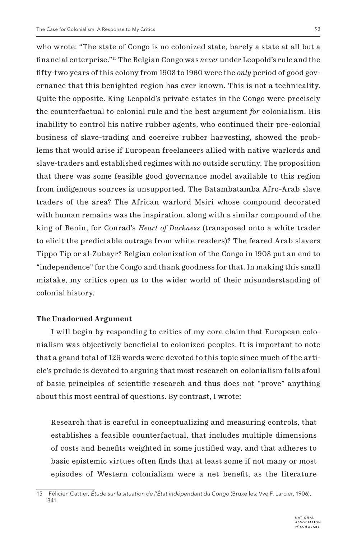who wrote: "The state of Congo is no colonized state, barely a state at all but a financial enterprise."15 The Belgian Congo was *never* under Leopold's rule and the fifty-two years of this colony from 1908 to 1960 were the *only* period of good governance that this benighted region has ever known. This is not a technicality. Quite the opposite. King Leopold's private estates in the Congo were precisely the counterfactual to colonial rule and the best argument *for* colonialism. His inability to control his native rubber agents, who continued their pre-colonial business of slave-trading and coercive rubber harvesting, showed the problems that would arise if European freelancers allied with native warlords and slave-traders and established regimes with no outside scrutiny. The proposition that there was some feasible good governance model available to this region from indigenous sources is unsupported. The Batambatamba Afro-Arab slave traders of the area? The African warlord Msiri whose compound decorated with human remains was the inspiration, along with a similar compound of the king of Benin, for Conrad's *Heart of Darkness* (transposed onto a white trader to elicit the predictable outrage from white readers)? The feared Arab slavers Tippo Tip or al-Zubayr? Belgian colonization of the Congo in 1908 put an end to "independence" for the Congo and thank goodness for that. In making this small mistake, my critics open us to the wider world of their misunderstanding of colonial history.

### **The Unadorned Argument**

I will begin by responding to critics of my core claim that European colonialism was objectively beneficial to colonized peoples. It is important to note that a grand total of 126 words were devoted to this topic since much of the article's prelude is devoted to arguing that most research on colonialism falls afoul of basic principles of scientific research and thus does not "prove" anything about this most central of questions. By contrast, I wrote:

Research that is careful in conceptualizing and measuring controls, that establishes a feasible counterfactual, that includes multiple dimensions of costs and benefits weighted in some justified way, and that adheres to basic epistemic virtues often finds that at least some if not many or most episodes of Western colonialism were a net benefit, as the literature

<sup>15</sup> Félicien Cattier, *Étude sur la situation de l'État indépendant du Congo* (Bruxelles: Vve F. Larcier, 1906), 341.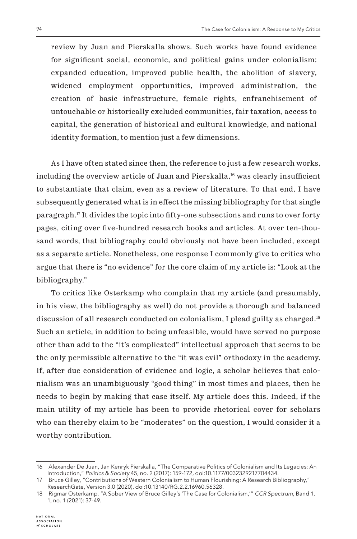review by Juan and Pierskalla shows. Such works have found evidence for significant social, economic, and political gains under colonialism: expanded education, improved public health, the abolition of slavery, widened employment opportunities, improved administration, the creation of basic infrastructure, female rights, enfranchisement of untouchable or historically excluded communities, fair taxation, access to capital, the generation of historical and cultural knowledge, and national identity formation, to mention just a few dimensions.

As I have often stated since then, the reference to just a few research works, including the overview article of Juan and Pierskalla,16 was clearly insufficient to substantiate that claim, even as a review of literature. To that end, I have subsequently generated what is in effect the missing bibliography for that single paragraph.17 It divides the topic into fifty-one subsections and runs to over forty pages, citing over five-hundred research books and articles. At over ten-thousand words, that bibliography could obviously not have been included, except as a separate article. Nonetheless, one response I commonly give to critics who argue that there is "no evidence" for the core claim of my article is: "Look at the bibliography."

To critics like Osterkamp who complain that my article (and presumably, in his view, the bibliography as well) do not provide a thorough and balanced discussion of all research conducted on colonialism, I plead guilty as charged.18 Such an article, in addition to being unfeasible, would have served no purpose other than add to the "it's complicated" intellectual approach that seems to be the only permissible alternative to the "it was evil" orthodoxy in the academy. If, after due consideration of evidence and logic, a scholar believes that colonialism was an unambiguously "good thing" in most times and places, then he needs to begin by making that case itself. My article does this. Indeed, if the main utility of my article has been to provide rhetorical cover for scholars who can thereby claim to be "moderates" on the question, I would consider it a worthy contribution.

<sup>16</sup> Alexander De Juan, Jan Kenryk Pierskalla, "The Comparative Politics of Colonialism and Its Legacies: An Introduction," *Politics & Society* 45, no. 2 (2017): 159-172, doi:10.1177/0032329217704434.

<sup>17</sup> Bruce Gilley, "Contributions of Western Colonialism to Human Flourishing: A Research Bibliography," ResearchGate, Version 3.0 (2020), doi:10.13140/RG.2.2.16960.56328.

<sup>18</sup> Rigmar Osterkamp, "A Sober View of Bruce Gilley's 'The Case for Colonialism,'" *CCR Spectrum*, Band 1, 1, no. 1 (2021): 37-49.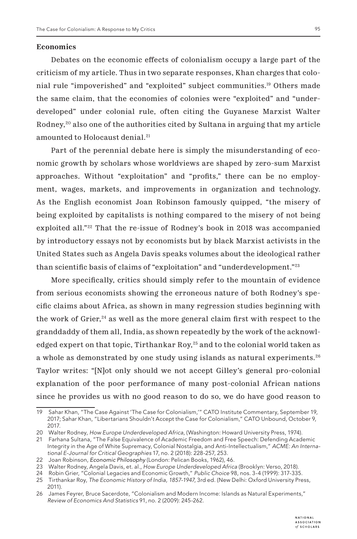#### **Economics**

Debates on the economic effects of colonialism occupy a large part of the criticism of my article. Thus in two separate responses, Khan charges that colonial rule "impoverished" and "exploited" subject communities.19 Others made the same claim, that the economies of colonies were "exploited" and "underdeveloped" under colonial rule, often citing the Guyanese Marxist Walter Rodney,<sup>20</sup> also one of the authorities cited by Sultana in arguing that my article amounted to Holocaust denial.<sup>21</sup>

Part of the perennial debate here is simply the misunderstanding of economic growth by scholars whose worldviews are shaped by zero-sum Marxist approaches. Without "exploitation" and "profits," there can be no employment, wages, markets, and improvements in organization and technology. As the English economist Joan Robinson famously quipped, "the misery of being exploited by capitalists is nothing compared to the misery of not being exploited all."22 That the re-issue of Rodney's book in 2018 was accompanied by introductory essays not by economists but by black Marxist activists in the United States such as Angela Davis speaks volumes about the ideological rather than scientific basis of claims of "exploitation" and "underdevelopment."23

More specifically, critics should simply refer to the mountain of evidence from serious economists showing the erroneous nature of both Rodney's specific claims about Africa, as shown in many regression studies beginning with the work of Grier,<sup>24</sup> as well as the more general claim first with respect to the granddaddy of them all, India, as shown repeatedly by the work of the acknowledged expert on that topic, Tirthankar Roy,<sup>25</sup> and to the colonial world taken as a whole as demonstrated by one study using islands as natural experiments.26 Taylor writes: "[N]ot only should we not accept Gilley's general pro-colonial explanation of the poor performance of many post-colonial African nations since he provides us with no good reason to do so, we do have good reason to

<sup>19</sup> Sahar Khan, "The Case Against 'The Case for Colonialism,'" CATO Institute Commentary, September 19, 2017; Sahar Khan, "Libertarians Shouldn't Accept the Case for Colonialism," CATO Unbound, October 9, 2017.

<sup>20</sup> Walter Rodney, *How Europe Underdeveloped Africa*, (Washington: Howard University Press, 1974).

<sup>21</sup> Farhana Sultana, "The False Equivalence of Academic Freedom and Free Speech: Defending Academic Integrity in the Age of White Supremacy, Colonial Nostalgia, and Anti-Intellectualism," *ACME: An International E-Journal for Critical Geographies* 17, no. 2 (2018): 228-257, 253.

<sup>22</sup> Joan Robinson, *Economic Philosophy* (London: Pelican Books, 1962), 46.

<sup>23</sup> Walter Rodney, Angela Davis, et. al., *How Europe Underdeveloped Africa* (Brooklyn: Verso, 2018).

<sup>24</sup> Robin Grier, "Colonial Legacies and Economic Growth," *Public Choice* 98, nos. 3-4 (1999): 317-335.

<sup>25</sup> Tirthankar Roy, *The Economic History of India, 1857-1947*, 3rd ed. (New Delhi: Oxford University Press, 2011).

<sup>26</sup> James Feyrer, Bruce Sacerdote, "Colonialism and Modern Income: Islands as Natural Experiments," *Review of Economics And Statistics* 91, no. 2 (2009): 245-262.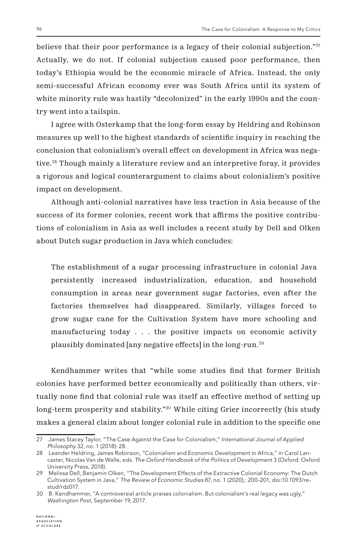believe that their poor performance is a legacy of their colonial subjection."<sup>27</sup> Actually, we do not. If colonial subjection caused poor performance, then today's Ethiopia would be the economic miracle of Africa. Instead, the only semi-successful African economy ever was South Africa until its system of white minority rule was hastily "decolonized" in the early 1990s and the country went into a tailspin.

I agree with Osterkamp that the long-form essay by Heldring and Robinson measures up well to the highest standards of scientific inquiry in reaching the conclusion that colonialism's overall effect on development in Africa was negative.<sup>28</sup> Though mainly a literature review and an interpretive foray, it provides a rigorous and logical counterargument to claims about colonialism's positive impact on development.

Although anti-colonial narratives have less traction in Asia because of the success of its former colonies, recent work that affirms the positive contributions of colonialism in Asia as well includes a recent study by Dell and Olken about Dutch sugar production in Java which concludes:

The establishment of a sugar processing infrastructure in colonial Java persistently increased industrialization, education, and household consumption in areas near government sugar factories, even after the factories themselves had disappeared. Similarly, villages forced to grow sugar cane for the Cultivation System have more schooling and manufacturing today . . . the positive impacts on economic activity plausibly dominated [any negative effects] in the long-run.29

Kendhammer writes that "while some studies find that former British colonies have performed better economically and politically than others, virtually none find that colonial rule was itself an effective method of setting up long-term prosperity and stability."30 While citing Grier incorrectly (his study makes a general claim about longer colonial rule in addition to the specific one

<sup>27</sup> James Stacey Taylor, "The Case Against the Case for Colonialism," *International Journal of Applied Philosophy* 32, no. 1 (2018): 28.

<sup>28</sup> Leander Heldring, James Robinson, "Colonialism and Economic Development in Africa," in Carol Lancaster, Nicolas Van de Walle, eds. *The Oxford Handbook of the Politics of Development* 3 (Oxford: Oxford University Press, 2018).

<sup>29</sup> Melissa Dell, Benjamin Olken, "The Development Effects of the Extractive Colonial Economy: The Dutch Cultivation System in Java," *The Review of Economic Studies* 87, no. 1 (2020),: 200-201, doi:10.1093/restud/rdz017.

<sup>30</sup> B. Kendhammer, "A controversial article praises colonialism. But colonialism's real legacy was ugly," *Washington Post*, September 19, 2017.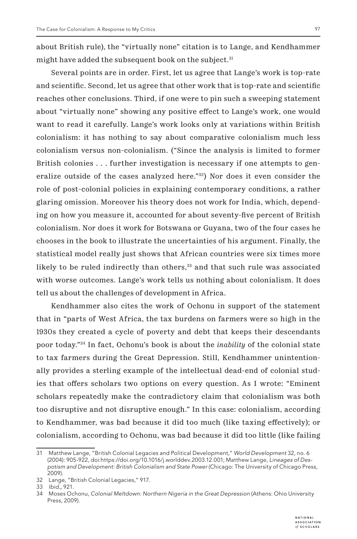about British rule), the "virtually none" citation is to Lange, and Kendhammer might have added the subsequent book on the subject.<sup>31</sup>

Several points are in order. First, let us agree that Lange's work is top-rate and scientific. Second, let us agree that other work that is top-rate and scientific reaches other conclusions. Third, if one were to pin such a sweeping statement about "virtually none" showing any positive effect to Lange's work, one would want to read it carefully. Lange's work looks only at variations within British colonialism: it has nothing to say about comparative colonialism much less colonialism versus non-colonialism. ("Since the analysis is limited to former British colonies . . . further investigation is necessary if one attempts to generalize outside of the cases analyzed here."32) Nor does it even consider the role of post-colonial policies in explaining contemporary conditions, a rather glaring omission. Moreover his theory does not work for India, which, depending on how you measure it, accounted for about seventy-five percent of British colonialism. Nor does it work for Botswana or Guyana, two of the four cases he chooses in the book to illustrate the uncertainties of his argument. Finally, the statistical model really just shows that African countries were six times more likely to be ruled indirectly than others,<sup>33</sup> and that such rule was associated with worse outcomes. Lange's work tells us nothing about colonialism. It does tell us about the challenges of development in Africa.

Kendhammer also cites the work of Ochonu in support of the statement that in "parts of West Africa, the tax burdens on farmers were so high in the 1930s they created a cycle of poverty and debt that keeps their descendants poor today."34 In fact, Ochonu's book is about the *inability* of the colonial state to tax farmers during the Great Depression. Still, Kendhammer unintentionally provides a sterling example of the intellectual dead-end of colonial studies that offers scholars two options on every question. As I wrote: "Eminent scholars repeatedly make the contradictory claim that colonialism was both too disruptive and not disruptive enough." In this case: colonialism, according to Kendhammer, was bad because it did too much (like taxing effectively); or colonialism, according to Ochonu, was bad because it did too little (like failing

<sup>31</sup> Matthew Lange, "British Colonial Legacies and Political Development," *World Development* 32, no. 6 (2004): 905-922, doi:https://doi.org/10.1016/j.worlddev.2003.12.001; Matthew Lange, *Lineages of Despotism and Development: British Colonialism and State Power* (Chicago: The University of Chicago Press, 2009).

<sup>32</sup> Lange, "British Colonial Legacies," 917.

<sup>33</sup> *Ibid.,* 921.

<sup>34</sup> Moses Ochonu, *Colonial Meltdown: Northern Nigeria in the Great Depression* (Athens: Ohio University Press, 2009).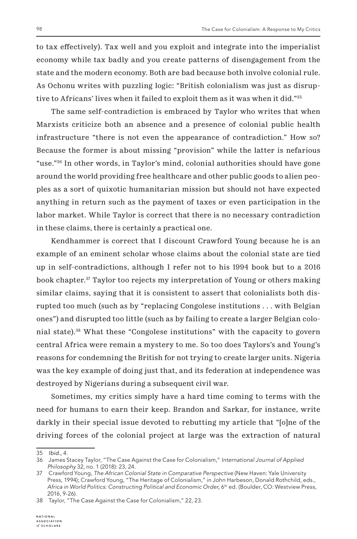to tax effectively). Tax well and you exploit and integrate into the imperialist economy while tax badly and you create patterns of disengagement from the state and the modern economy. Both are bad because both involve colonial rule. As Ochonu writes with puzzling logic: "British colonialism was just as disruptive to Africans' lives when it failed to exploit them as it was when it did."35

The same self-contradiction is embraced by Taylor who writes that when Marxists criticize both an absence and a presence of colonial public health infrastructure "there is not even the appearance of contradiction." How so? Because the former is about missing "provision" while the latter is nefarious "use."36 In other words, in Taylor's mind, colonial authorities should have gone around the world providing free healthcare and other public goods to alien peoples as a sort of quixotic humanitarian mission but should not have expected anything in return such as the payment of taxes or even participation in the labor market. While Taylor is correct that there is no necessary contradiction in these claims, there is certainly a practical one.

Kendhammer is correct that I discount Crawford Young because he is an example of an eminent scholar whose claims about the colonial state are tied up in self-contradictions, although I refer not to his 1994 book but to a 2016 book chapter.37 Taylor too rejects my interpretation of Young or others making similar claims, saying that it is consistent to assert that colonialists both disrupted too much (such as by "replacing Congolese institutions . . . with Belgian ones") and disrupted too little (such as by failing to create a larger Belgian colonial state).38 What these "Congolese institutions" with the capacity to govern central Africa were remain a mystery to me. So too does Taylors's and Young's reasons for condemning the British for not trying to create larger units. Nigeria was the key example of doing just that, and its federation at independence was destroyed by Nigerians during a subsequent civil war.

Sometimes, my critics simply have a hard time coming to terms with the need for humans to earn their keep. Brandon and Sarkar, for instance, write darkly in their special issue devoted to rebutting my article that "[o]ne of the driving forces of the colonial project at large was the extraction of natural

<sup>35</sup> *Ibid.,* 4.

<sup>36</sup> James Stacey Taylor, "The Case Against the Case for Colonialism," *International Journal of Applied Philosophy* 32, no. 1 (2018): 23, 24.

<sup>37</sup> Crawford Young, *The African Colonial State in Comparative Perspective* (New Haven: Yale University Press, 1994); Crawford Young, "The Heritage of Colonialism," in John Harbeson, Donald Rothchild, eds., *Africa in World Politics: Constructing Political and Economic Order,* 6th ed. (Boulder, CO: Westview Press, 2016, 9-26).

<sup>38</sup> Taylor, "The Case Against the Case for Colonialism," 22, 23.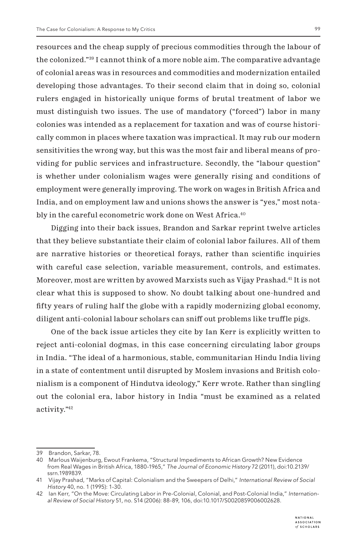resources and the cheap supply of precious commodities through the labour of the colonized."39 I cannot think of a more noble aim. The comparative advantage of colonial areas was in resources and commodities and modernization entailed developing those advantages. To their second claim that in doing so, colonial rulers engaged in historically unique forms of brutal treatment of labor we must distinguish two issues. The use of mandatory ("forced") labor in many colonies was intended as a replacement for taxation and was of course historically common in places where taxation was impractical. It may rub our modern sensitivities the wrong way, but this was the most fair and liberal means of providing for public services and infrastructure. Secondly, the "labour question" is whether under colonialism wages were generally rising and conditions of employment were generally improving. The work on wages in British Africa and India, and on employment law and unions shows the answer is "yes," most notably in the careful econometric work done on West Africa.<sup>40</sup>

Digging into their back issues, Brandon and Sarkar reprint twelve articles that they believe substantiate their claim of colonial labor failures. All of them are narrative histories or theoretical forays, rather than scientific inquiries with careful case selection, variable measurement, controls, and estimates. Moreover, most are written by avowed Marxists such as Vijay Prashad.41 It is not clear what this is supposed to show. No doubt talking about one-hundred and fifty years of ruling half the globe with a rapidly modernizing global economy, diligent anti-colonial labour scholars can sniff out problems like truffle pigs.

One of the back issue articles they cite by Ian Kerr is explicitly written to reject anti-colonial dogmas, in this case concerning circulating labor groups in India. "The ideal of a harmonious, stable, communitarian Hindu India living in a state of contentment until disrupted by Moslem invasions and British colonialism is a component of Hindutva ideology," Kerr wrote. Rather than singling out the colonial era, labor history in India "must be examined as a related activity."42

<sup>39</sup> Brandon, Sarkar, 78.

<sup>40</sup> Marlous Waijenburg, Ewout Frankema, "Structural Impediments to African Growth? New Evidence from Real Wages in British Africa, 1880-1965," *The Journal of Economic History* 72 (2011), doi:10.2139/ ssrn.1989839.

<sup>41</sup> Vijay Prashad, "Marks of Capital: Colonialism and the Sweepers of Delhi," *International Review of Social History* 40, no. 1 (1995): 1-30.

<sup>42</sup> Ian Kerr, "On the Move: Circulating Labor in Pre-Colonial, Colonial, and Post-Colonial India," *International Review of Social History* 51, no. S14 (2006): 88-89, 106, doi:10.1017/S0020859006002628.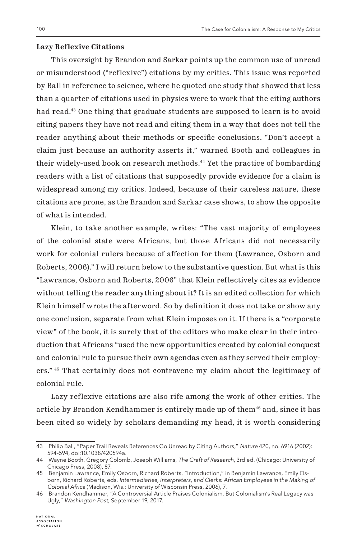# **Lazy Reflexive Citations**

This oversight by Brandon and Sarkar points up the common use of unread or misunderstood ("reflexive") citations by my critics. This issue was reported by Ball in reference to science, where he quoted one study that showed that less than a quarter of citations used in physics were to work that the citing authors had read.<sup>43</sup> One thing that graduate students are supposed to learn is to avoid citing papers they have not read and citing them in a way that does not tell the reader anything about their methods or specific conclusions. "Don't accept a claim just because an authority asserts it," warned Booth and colleagues in their widely-used book on research methods.44 Yet the practice of bombarding readers with a list of citations that supposedly provide evidence for a claim is widespread among my critics. Indeed, because of their careless nature, these citations are prone, as the Brandon and Sarkar case shows, to show the opposite of what is intended.

Klein, to take another example, writes: "The vast majority of employees of the colonial state were Africans, but those Africans did not necessarily work for colonial rulers because of affection for them (Lawrance, Osborn and Roberts, 2006)." I will return below to the substantive question. But what is this "Lawrance, Osborn and Roberts, 2006" that Klein reflectively cites as evidence without telling the reader anything about it? It is an edited collection for which Klein himself wrote the afterword. So by definition it does not take or show any one conclusion, separate from what Klein imposes on it. If there is a "corporate view" of the book, it is surely that of the editors who make clear in their introduction that Africans "used the new opportunities created by colonial conquest and colonial rule to pursue their own agendas even as they served their employers." 45 That certainly does not contravene my claim about the legitimacy of colonial rule.

Lazy reflexive citations are also rife among the work of other critics. The article by Brandon Kendhammer is entirely made up of them<sup>46</sup> and, since it has been cited so widely by scholars demanding my head, it is worth considering

<sup>43</sup> Philip Ball, "Paper Trail Reveals References Go Unread by Citing Authors," *Nature* 420, no. 6916 (2002): 594-594, doi:10.1038/420594a.

<sup>44</sup> Wayne Booth, Gregory Colomb, Joseph Williams, *The Craft of Research*, 3rd ed. (Chicago: University of Chicago Press, 2008), 87.

<sup>45</sup> Benjamin Lawrance, Emily Osborn, Richard Roberts, "Introduction," in Benjamin Lawrance, Emily Osborn, Richard Roberts, eds. *Intermediaries, Interpreters, and Clerks: African Employees in the Making of Colonial Africa* (Madison, Wis.: University of Wisconsin Press, 2006), 7.

<sup>46</sup> Brandon Kendhammer, "A Controversial Article Praises Colonialism. But Colonialism's Real Legacy was Ugly," *Washington Post*, September 19, 2017.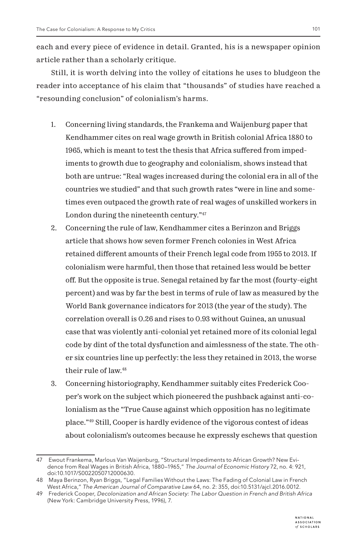each and every piece of evidence in detail. Granted, his is a newspaper opinion article rather than a scholarly critique.

Still, it is worth delving into the volley of citations he uses to bludgeon the reader into acceptance of his claim that "thousands" of studies have reached a "resounding conclusion" of colonialism's harms.

- 1. Concerning living standards, the Frankema and Waijenburg paper that Kendhammer cites on real wage growth in British colonial Africa 1880 to 1965, which is meant to test the thesis that Africa suffered from impediments to growth due to geography and colonialism, shows instead that both are untrue: "Real wages increased during the colonial era in all of the countries we studied" and that such growth rates "were in line and sometimes even outpaced the growth rate of real wages of unskilled workers in London during the nineteenth century."47
- 2. Concerning the rule of law, Kendhammer cites a Berinzon and Briggs article that shows how seven former French colonies in West Africa retained different amounts of their French legal code from 1955 to 2013. If colonialism were harmful, then those that retained less would be better off. But the opposite is true. Senegal retained by far the most (fourty-eight percent) and was by far the best in terms of rule of law as measured by the World Bank governance indicators for 2013 (the year of the study). The correlation overall is 0.26 and rises to 0.93 without Guinea, an unusual case that was violently anti-colonial yet retained more of its colonial legal code by dint of the total dysfunction and aimlessness of the state. The other six countries line up perfectly: the less they retained in 2013, the worse their rule of law.48
- 3. Concerning historiography, Kendhammer suitably cites Frederick Cooper's work on the subject which pioneered the pushback against anti-colonialism as the "True Cause against which opposition has no legitimate place."49 Still, Cooper is hardly evidence of the vigorous contest of ideas about colonialism's outcomes because he expressly eschews that question

<sup>47</sup> Ewout Frankema, Marlous Van Waijenburg, "Structural Impediments to African Growth? New Evidence from Real Wages in British Africa, 1880–1965," *The Journal of Economic History* 72, no. 4: 921, doi:10.1017/S0022050712000630.

<sup>48</sup> Maya Berinzon, Ryan Briggs, "Legal Families Without the Laws: The Fading of Colonial Law in French West Africa," *The American Journal of Comparative Law* 64, no. 2: 355, doi:10.5131/ajcl.2016.0012.

<sup>49</sup> Frederick Cooper, *Decolonization and African Society: The Labor Question in French and British Africa* (New York: Cambridge University Press, 1996), 7.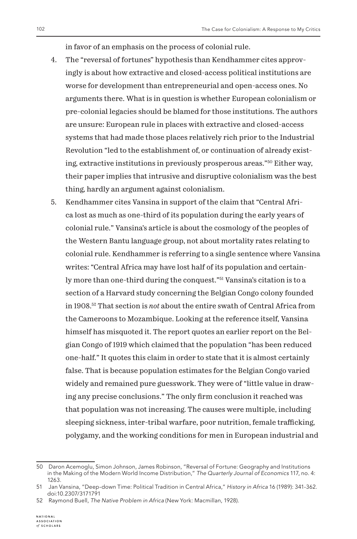in favor of an emphasis on the process of colonial rule.

- 4. The "reversal of fortunes" hypothesis than Kendhammer cites approvingly is about how extractive and closed-access political institutions are worse for development than entrepreneurial and open-access ones. No arguments there. What is in question is whether European colonialism or pre-colonial legacies should be blamed for those institutions. The authors are unsure: European rule in places with extractive and closed-access systems that had made those places relatively rich prior to the Industrial Revolution "led to the establishment of, or continuation of already existing, extractive institutions in previously prosperous areas."50 Either way, their paper implies that intrusive and disruptive colonialism was the best thing, hardly an argument against colonialism.
- 5. Kendhammer cites Vansina in support of the claim that "Central Africa lost as much as one-third of its population during the early years of colonial rule." Vansina's article is about the cosmology of the peoples of the Western Bantu language group, not about mortality rates relating to colonial rule. Kendhammer is referring to a single sentence where Vansina writes: "Central Africa may have lost half of its population and certainly more than one-third during the conquest."51 Vansina's citation is to a section of a Harvard study concerning the Belgian Congo colony founded in 1908.52 That section is *not* about the entire swath of Central Africa from the Cameroons to Mozambique. Looking at the reference itself, Vansina himself has misquoted it. The report quotes an earlier report on the Belgian Congo of 1919 which claimed that the population "has been reduced one-half." It quotes this claim in order to state that it is almost certainly false. That is because population estimates for the Belgian Congo varied widely and remained pure guesswork. They were of "little value in drawing any precise conclusions." The only firm conclusion it reached was that population was not increasing. The causes were multiple, including sleeping sickness, inter-tribal warfare, poor nutrition, female trafficking, polygamy, and the working conditions for men in European industrial and

<sup>50</sup> Daron Acemoglu, Simon Johnson, James Robinson, "Reversal of Fortune: Geography and Institutions in the Making of the Modern World Income Distribution," *The Quarterly Journal of Economics* 117, no. 4: 1263.

<sup>51</sup> Jan Vansina, "Deep-down Time: Political Tradition in Central Africa," *History in Africa* 16 (1989): 341-362. doi:10.2307/3171791

<sup>52</sup> Raymond Buell, *The Native Problem in Africa* (New York: Macmillan, 1928).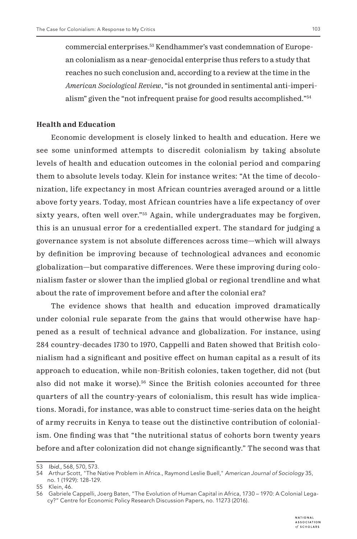commercial enterprises.53 Kendhammer's vast condemnation of European colonialism as a near-genocidal enterprise thus refers to a study that reaches no such conclusion and, according to a review at the time in the *American Sociological Review*, "is not grounded in sentimental anti-imperialism" given the "not infrequent praise for good results accomplished."54

## **Health and Education**

Economic development is closely linked to health and education. Here we see some uninformed attempts to discredit colonialism by taking absolute levels of health and education outcomes in the colonial period and comparing them to absolute levels today. Klein for instance writes: "At the time of decolonization, life expectancy in most African countries averaged around or a little above forty years. Today, most African countries have a life expectancy of over sixty years, often well over."55 Again, while undergraduates may be forgiven, this is an unusual error for a credentialled expert. The standard for judging a governance system is not absolute differences across time—which will always by definition be improving because of technological advances and economic globalization—but comparative differences. Were these improving during colonialism faster or slower than the implied global or regional trendline and what about the rate of improvement before and after the colonial era?

The evidence shows that health and education improved dramatically under colonial rule separate from the gains that would otherwise have happened as a result of technical advance and globalization. For instance, using 284 country-decades 1730 to 1970, Cappelli and Baten showed that British colonialism had a significant and positive effect on human capital as a result of its approach to education, while non-British colonies, taken together, did not (but also did not make it worse).56 Since the British colonies accounted for three quarters of all the country-years of colonialism, this result has wide implications. Moradi, for instance, was able to construct time-series data on the height of army recruits in Kenya to tease out the distinctive contribution of colonialism. One finding was that "the nutritional status of cohorts born twenty years before and after colonization did not change significantly." The second was that

<sup>53</sup> *Ibid.,* 568, 570, 573.

<sup>54</sup> Arthur Scott, "The Native Problem in Africa., Raymond Leslie Buell," *American Journal of Sociology* 35, no. 1 (1929): 128-129.

<sup>55</sup> Klein, 46.

<sup>56</sup> Gabriele Cappelli, Joerg Baten, "The Evolution of Human Capital in Africa, 1730 – 1970: A Colonial Legacy?" Centre for Economic Policy Research Discussion Papers, no. 11273 (2016).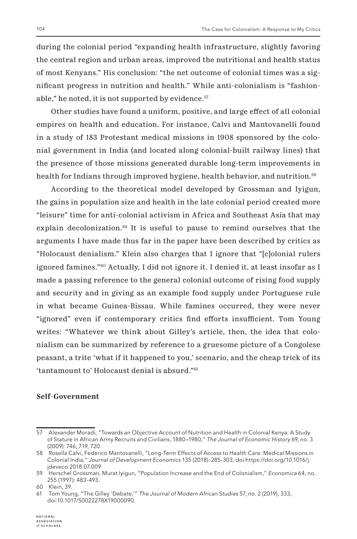during the colonial period "expanding health infrastructure, slightly favoring the central region and urban areas, improved the nutritional and health status of most Kenyans." His conclusion: "the net outcome of colonial times was a significant progress in nutrition and health." While anti-colonialism is "fashionable," he noted, it is not supported by evidence.<sup>57</sup>

Other studies have found a uniform, positive, and large effect of all colonial empires on health and education. For instance, Calvi and Mantovanelli found in a study of 183 Protestant medical missions in 1908 sponsored by the colonial government in India (and located along colonial-built railway lines) that the presence of those missions generated durable long-term improvements in health for Indians through improved hygiene, health behavior, and nutrition.<sup>58</sup>

According to the theoretical model developed by Grossman and Iyigun, the gains in population size and health in the late colonial period created more "leisure" time for anti-colonial activism in Africa and Southeast Asia that may explain decolonization.59 It is useful to pause to remind ourselves that the arguments I have made thus far in the paper have been described by critics as "Holocaust denialism." Klein also charges that I ignore that "[c]olonial rulers ignored famines."60 Actually, I did not ignore it. I denied it, at least insofar as I made a passing reference to the general colonial outcome of rising food supply and security and in giving as an example food supply under Portuguese rule in what became Guinea-Bissau. While famines occurred, they were never "ignored" even if contemporary critics find efforts insufficient. Tom Young writes: "Whatever we think about Gilley's article, then, the idea that colonialism can be summarized by reference to a gruesome picture of a Congolese peasant, a trite 'what if it happened to you,' scenario, and the cheap trick of its 'tantamount to' Holocaust denial is absurd."61

#### **Self-Government**

<sup>57</sup> Alexander Moradi, "Towards an Objective Account of Nutrition and Health in Colonial Kenya: A Study of Stature in African Army Recruits and Civilians, 1880–1980," *The Journal of Economic History* 69, no. 3 (2009): 746, 719, 720.

<sup>58</sup> Rosella Calvi, Federico Mantovanelli, "Long-Term Effects of Access to Health Care: Medical Missions in Colonial India," *Journal of Development Economics* 135 (2018): 285-303, doi:https://doi.org/10.1016/j. jdeveco.2018.07.009.

<sup>59</sup> Herschel Grossman, Murat Iyigun, "Population Increase and the End of Colonialism," *Economica* 64, no. 255 (1997): 483-493.

<sup>60</sup> Klein, 39.

<sup>61</sup> Tom Young, "The Gilley 'Debate,'" *The Journal of Modern African Studies* 57, no. 2 (2019), 333, doi:10.1017/S0022278X19000090.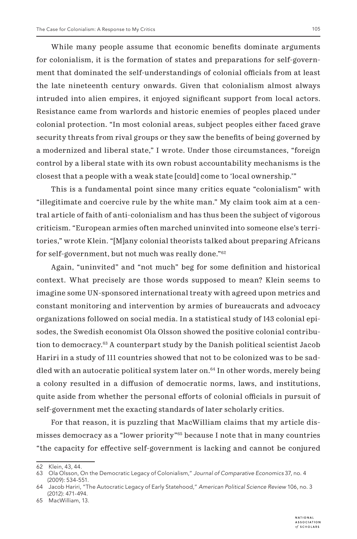While many people assume that economic benefits dominate arguments for colonialism, it is the formation of states and preparations for self-government that dominated the self-understandings of colonial officials from at least the late nineteenth century onwards. Given that colonialism almost always intruded into alien empires, it enjoyed significant support from local actors. Resistance came from warlords and historic enemies of peoples placed under colonial protection. "In most colonial areas, subject peoples either faced grave security threats from rival groups or they saw the benefits of being governed by a modernized and liberal state," I wrote. Under those circumstances, "foreign control by a liberal state with its own robust accountability mechanisms is the closest that a people with a weak state [could] come to 'local ownership.'"

This is a fundamental point since many critics equate "colonialism" with "illegitimate and coercive rule by the white man." My claim took aim at a central article of faith of anti-colonialism and has thus been the subject of vigorous criticism. "European armies often marched uninvited into someone else's territories," wrote Klein. "[M]any colonial theorists talked about preparing Africans for self-government, but not much was really done."62

Again, "uninvited" and "not much" beg for some definition and historical context. What precisely are those words supposed to mean? Klein seems to imagine some UN-sponsored international treaty with agreed upon metrics and constant monitoring and intervention by armies of bureaucrats and advocacy organizations followed on social media. In a statistical study of 143 colonial episodes, the Swedish economist Ola Olsson showed the positive colonial contribution to democracy.63 A counterpart study by the Danish political scientist Jacob Hariri in a study of 111 countries showed that not to be colonized was to be saddled with an autocratic political system later on.<sup>64</sup> In other words, merely being a colony resulted in a diffusion of democratic norms, laws, and institutions, quite aside from whether the personal efforts of colonial officials in pursuit of self-government met the exacting standards of later scholarly critics.

For that reason, it is puzzling that MacWilliam claims that my article dismisses democracy as a "lower priority"65 because I note that in many countries "the capacity for effective self-government is lacking and cannot be conjured

<sup>62</sup> Klein, 43, 44.

<sup>63</sup> Ola Olsson, On the Democratic Legacy of Colonialism," *Journal of Comparative Economics* 37, no. 4 (2009): 534-551.

<sup>64</sup> Jacob Hariri, "The Autocratic Legacy of Early Statehood," *American Political Science Review* 106, no. 3 (2012): 471-494.

<sup>65</sup> MacWilliam, 13.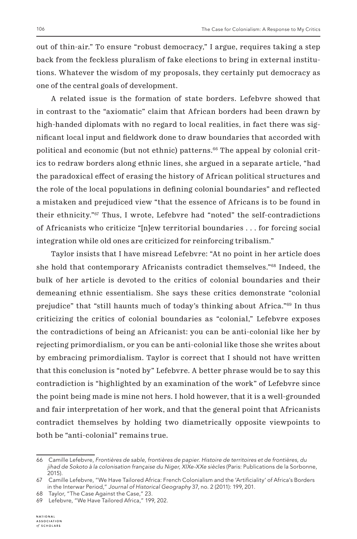out of thin-air." To ensure "robust democracy," I argue, requires taking a step back from the feckless pluralism of fake elections to bring in external institutions. Whatever the wisdom of my proposals, they certainly put democracy as one of the central goals of development.

A related issue is the formation of state borders. Lefebvre showed that in contrast to the "axiomatic" claim that African borders had been drawn by high-handed diplomats with no regard to local realities, in fact there was significant local input and fieldwork done to draw boundaries that accorded with political and economic (but not ethnic) patterns.66 The appeal by colonial critics to redraw borders along ethnic lines, she argued in a separate article, "had the paradoxical effect of erasing the history of African political structures and the role of the local populations in defining colonial boundaries" and reflected a mistaken and prejudiced view "that the essence of Africans is to be found in their ethnicity."67 Thus, I wrote, Lefebvre had "noted" the self-contradictions of Africanists who criticize "[n]ew territorial boundaries . . . for forcing social integration while old ones are criticized for reinforcing tribalism."

Taylor insists that I have misread Lefebvre: "At no point in her article does she hold that contemporary Africanists contradict themselves."68 Indeed, the bulk of her article is devoted to the critics of colonial boundaries and their demeaning ethnic essentialism. She says these critics demonstrate "colonial prejudice" that "still haunts much of today's thinking about Africa."69 In thus criticizing the critics of colonial boundaries as "colonial," Lefebvre exposes the contradictions of being an Africanist: you can be anti-colonial like her by rejecting primordialism, or you can be anti-colonial like those she writes about by embracing primordialism. Taylor is correct that I should not have written that this conclusion is "noted by" Lefebvre. A better phrase would be to say this contradiction is "highlighted by an examination of the work" of Lefebvre since the point being made is mine not hers. I hold however, that it is a well-grounded and fair interpretation of her work, and that the general point that Africanists contradict themselves by holding two diametrically opposite viewpoints to both be "anti-colonial" remains true.

<sup>66</sup> Camille Lefebvre, *Frontières de sable, frontières de papier. Histoire de territoires et de frontières, du jihad de Sokoto à la colonisation française du Niger, XIXe-XXe siècles* (Paris: Publications de la Sorbonne, 2015).

<sup>67</sup> Camille Lefebvre, "We Have Tailored Africa: French Colonialism and the 'Artificiality' of Africa's Borders in the Interwar Period," *Journal of Historical Geography* 37, no. 2 (2011): 199, 201.

<sup>68</sup> Taylor, "The Case Against the Case," 23.

<sup>69</sup> Lefebvre, "We Have Tailored Africa," 199, 202.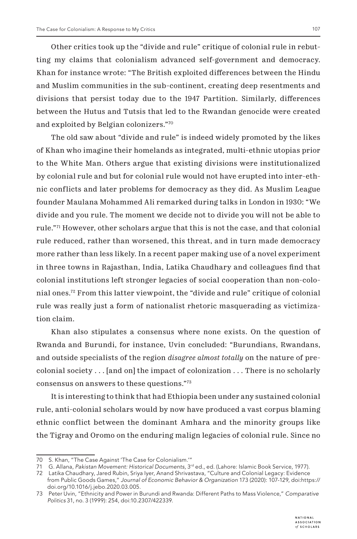Other critics took up the "divide and rule" critique of colonial rule in rebutting my claims that colonialism advanced self-government and democracy. Khan for instance wrote: "The British exploited differences between the Hindu and Muslim communities in the sub-continent, creating deep resentments and divisions that persist today due to the 1947 Partition. Similarly, differences between the Hutus and Tutsis that led to the Rwandan genocide were created and exploited by Belgian colonizers."70

The old saw about "divide and rule" is indeed widely promoted by the likes of Khan who imagine their homelands as integrated, multi-ethnic utopias prior to the White Man. Others argue that existing divisions were institutionalized by colonial rule and but for colonial rule would not have erupted into inter-ethnic conflicts and later problems for democracy as they did. As Muslim League founder Maulana Mohammed Ali remarked during talks in London in 1930: "We divide and you rule. The moment we decide not to divide you will not be able to rule."71 However, other scholars argue that this is not the case, and that colonial rule reduced, rather than worsened, this threat, and in turn made democracy more rather than less likely. In a recent paper making use of a novel experiment in three towns in Rajasthan, India, Latika Chaudhary and colleagues find that colonial institutions left stronger legacies of social cooperation than non-colonial ones.72 From this latter viewpoint, the "divide and rule" critique of colonial rule was really just a form of nationalist rhetoric masquerading as victimization claim.

Khan also stipulates a consensus where none exists. On the question of Rwanda and Burundi, for instance, Uvin concluded: "Burundians, Rwandans, and outside specialists of the region *disagree almost totally* on the nature of precolonial society . . . [and on] the impact of colonization . . . There is no scholarly consensus on answers to these questions."73

It is interesting to think that had Ethiopia been under any sustained colonial rule, anti-colonial scholars would by now have produced a vast corpus blaming ethnic conflict between the dominant Amhara and the minority groups like the Tigray and Oromo on the enduring malign legacies of colonial rule. Since no

<sup>70</sup> S. Khan, "The Case Against 'The Case for Colonialism.'"

<sup>71</sup> G. Allana, Pakistan Movement: Historical Documents, 3<sup>rd</sup> ed., ed. (Lahore: Islamic Book Service, 1977).

<sup>72</sup> Latika Chaudhary, Jared Rubin, Sriya Iyer, Anand Shrivastava, "Culture and Colonial Legacy: Evidence from Public Goods Games," *Journal of Economic Behavior & Organization* 173 (2020): 107-129, doi:https:// doi.org/10.1016/j.jebo.2020.03.005.

<sup>73</sup> Peter Uvin, "Ethnicity and Power in Burundi and Rwanda: Different Paths to Mass Violence," *Comparative Politics* 31, no. 3 (1999): 254, doi:10.2307/422339.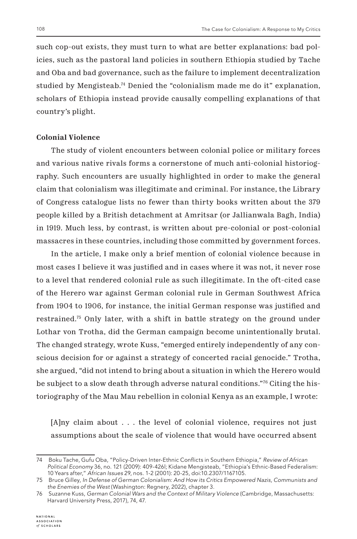such cop-out exists, they must turn to what are better explanations: bad policies, such as the pastoral land policies in southern Ethiopia studied by Tache and Oba and bad governance, such as the failure to implement decentralization studied by Mengisteab.<sup>74</sup> Denied the "colonialism made me do it" explanation, scholars of Ethiopia instead provide causally compelling explanations of that country's plight.

### **Colonial Violence**

The study of violent encounters between colonial police or military forces and various native rivals forms a cornerstone of much anti-colonial historiography. Such encounters are usually highlighted in order to make the general claim that colonialism was illegitimate and criminal. For instance, the Library of Congress catalogue lists no fewer than thirty books written about the 379 people killed by a British detachment at Amritsar (or Jallianwala Bagh, India) in 1919. Much less, by contrast, is written about pre-colonial or post-colonial massacres in these countries, including those committed by government forces.

In the article, I make only a brief mention of colonial violence because in most cases I believe it was justified and in cases where it was not, it never rose to a level that rendered colonial rule as such illegitimate. In the oft-cited case of the Herero war against German colonial rule in German Southwest Africa from 1904 to 1906, for instance, the initial German response was justified and restrained.75 Only later, with a shift in battle strategy on the ground under Lothar von Trotha, did the German campaign become unintentionally brutal. The changed strategy, wrote Kuss, "emerged entirely independently of any conscious decision for or against a strategy of concerted racial genocide." Trotha, she argued, "did not intend to bring about a situation in which the Herero would be subject to a slow death through adverse natural conditions."76 Citing the historiography of the Mau Mau rebellion in colonial Kenya as an example, I wrote:

[A]ny claim about . . . the level of colonial violence, requires not just assumptions about the scale of violence that would have occurred absent

<sup>74</sup> Boku Tache, Gufu Oba, "Policy-Driven Inter-Ethnic Conflicts in Southern Ethiopia," *Review of African Political Economy* 36, no. 121 (2009): 409-426l; Kidane Mengisteab, "Ethiopia's Ethnic-Based Federalism: 10 Years after," *African Issues* 29, nos. 1-2 (2001): 20-25, doi:10.2307/1167105.

<sup>75</sup> Bruce Gilley, *In Defense of German Colonialism: And How its Critics Empowered Nazis, Communists and the Enemies of the West* (Washington: Regnery, 2022), chapter 3.

<sup>76</sup> Suzanne Kuss, *German Colonial Wars and the Context of Military Violence* (Cambridge, Massachusetts: Harvard University Press, 2017), 74, 47.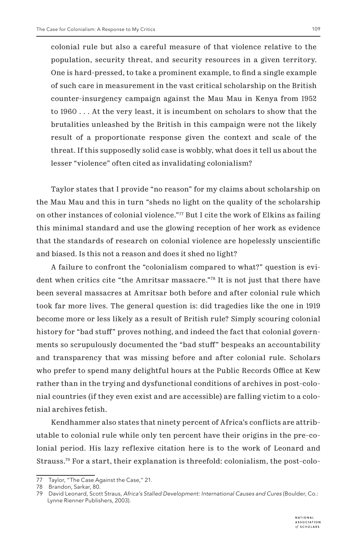colonial rule but also a careful measure of that violence relative to the population, security threat, and security resources in a given territory. One is hard-pressed, to take a prominent example, to find a single example of such care in measurement in the vast critical scholarship on the British counter-insurgency campaign against the Mau Mau in Kenya from 1952 to 1960 . . . At the very least, it is incumbent on scholars to show that the brutalities unleashed by the British in this campaign were not the likely result of a proportionate response given the context and scale of the threat. If this supposedly solid case is wobbly, what does it tell us about the lesser "violence" often cited as invalidating colonialism?

Taylor states that I provide "no reason" for my claims about scholarship on the Mau Mau and this in turn "sheds no light on the quality of the scholarship on other instances of colonial violence." $\frac{77}{7}$  But I cite the work of Elkins as failing this minimal standard and use the glowing reception of her work as evidence that the standards of research on colonial violence are hopelessly unscientific and biased. Is this not a reason and does it shed no light?

A failure to confront the "colonialism compared to what?" question is evident when critics cite "the Amritsar massacre."78 It is not just that there have been several massacres at Amritsar both before and after colonial rule which took far more lives. The general question is: did tragedies like the one in 1919 become more or less likely as a result of British rule? Simply scouring colonial history for "bad stuff" proves nothing, and indeed the fact that colonial governments so scrupulously documented the "bad stuff" bespeaks an accountability and transparency that was missing before and after colonial rule. Scholars who prefer to spend many delightful hours at the Public Records Office at Kew rather than in the trying and dysfunctional conditions of archives in post-colonial countries (if they even exist and are accessible) are falling victim to a colonial archives fetish.

Kendhammer also states that ninety percent of Africa's conflicts are attributable to colonial rule while only ten percent have their origins in the pre-colonial period. His lazy reflexive citation here is to the work of Leonard and Strauss.79 For a start, their explanation is threefold: colonialism, the post-colo-

<sup>77</sup> Taylor, "The Case Against the Case," 21.

<sup>78</sup> Brandon, Sarkar, 80.

<sup>79</sup> David Leonard, Scott Straus, *Africa's Stalled Development: International Causes and Cures* (Boulder, Co.: Lynne Rienner Publishers, 2003).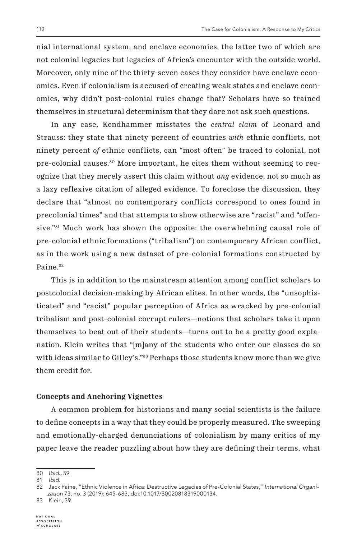nial international system, and enclave economies, the latter two of which are not colonial legacies but legacies of Africa's encounter with the outside world. Moreover, only nine of the thirty-seven cases they consider have enclave economies. Even if colonialism is accused of creating weak states and enclave economies, why didn't post-colonial rules change that? Scholars have so trained themselves in structural determinism that they dare not ask such questions.

In any case, Kendhammer misstates the *central claim* of Leonard and Strauss: they state that ninety percent of countries *with* ethnic conflicts, not ninety percent *of* ethnic conflicts, can "most often" be traced to colonial, not pre-colonial causes.80 More important, he cites them without seeming to recognize that they merely assert this claim without *any* evidence, not so much as a lazy reflexive citation of alleged evidence. To foreclose the discussion, they declare that "almost no contemporary conflicts correspond to ones found in precolonial times" and that attempts to show otherwise are "racist" and "offensive."81 Much work has shown the opposite: the overwhelming causal role of pre-colonial ethnic formations ("tribalism") on contemporary African conflict, as in the work using a new dataset of pre-colonial formations constructed by Paine.<sup>82</sup>

This is in addition to the mainstream attention among conflict scholars to postcolonial decision-making by African elites. In other words, the "unsophisticated" and "racist" popular perception of Africa as wracked by pre-colonial tribalism and post-colonial corrupt rulers—notions that scholars take it upon themselves to beat out of their students—turns out to be a pretty good explanation. Klein writes that "[m]any of the students who enter our classes do so with ideas similar to Gilley's."<sup>83</sup> Perhaps those students know more than we give them credit for.

#### **Concepts and Anchoring Vignettes**

A common problem for historians and many social scientists is the failure to define concepts in a way that they could be properly measured. The sweeping and emotionally-charged denunciations of colonialism by many critics of my paper leave the reader puzzling about how they are defining their terms, what

<sup>80</sup> *Ibid.,* 59.

<sup>81</sup> *Ibid.*

<sup>82</sup> Jack Paine, "Ethnic Violence in Africa: Destructive Legacies of Pre-Colonial States," *International Organization* 73, no. 3 (2019): 645-683, doi:10.1017/S0020818319000134.

<sup>83</sup> Klein, 39.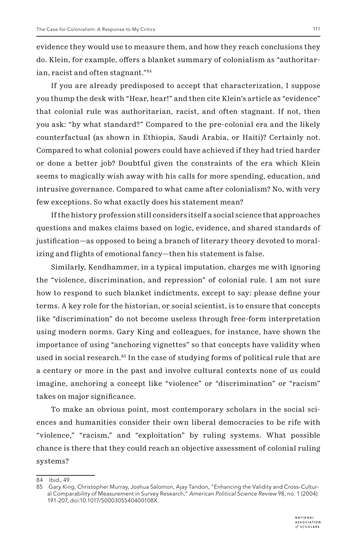evidence they would use to measure them, and how they reach conclusions they do. Klein, for example, offers a blanket summary of colonialism as "authoritarian, racist and often stagnant."84

If you are already predisposed to accept that characterization, I suppose you thump the desk with "Hear, hear!" and then cite Klein's article as "evidence" that colonial rule was authoritarian, racist, and often stagnant. If not, then you ask: "by what standard?" Compared to the pre-colonial era and the likely counterfactual (as shown in Ethiopia, Saudi Arabia, or Haiti)? Certainly not. Compared to what colonial powers could have achieved if they had tried harder or done a better job? Doubtful given the constraints of the era which Klein seems to magically wish away with his calls for more spending, education, and intrusive governance. Compared to what came after colonialism? No, with very few exceptions. So what exactly does his statement mean?

If the history profession still considers itself a social science that approaches questions and makes claims based on logic, evidence, and shared standards of justification—as opposed to being a branch of literary theory devoted to moralizing and flights of emotional fancy—then his statement is false.

Similarly, Kendhammer, in a typical imputation, charges me with ignoring the "violence, discrimination, and repression" of colonial rule. I am not sure how to respond to such blanket indictments, except to say: please define your terms. A key role for the historian, or social scientist, is to ensure that concepts like "discrimination" do not become useless through free-form interpretation using modern norms. Gary King and colleagues, for instance, have shown the importance of using "anchoring vignettes" so that concepts have validity when used in social research.<sup>85</sup> In the case of studying forms of political rule that are a century or more in the past and involve cultural contexts none of us could imagine, anchoring a concept like "violence" or "discrimination" or "racism" takes on major significance.

To make an obvious point, most contemporary scholars in the social sciences and humanities consider their own liberal democracies to be rife with "violence," "racism," and "exploitation" by ruling systems. What possible chance is there that they could reach an objective assessment of colonial ruling systems?

<sup>84</sup> *Ibid.,* 49.

<sup>85</sup> Gary King, Christopher Murray, Joshua Salomon, Ajay Tandon, "Enhancing the Validity and Cross-Cultural Comparability of Measurement in Survey Research," *American Political Science Review* 98, no. 1 (2004): 191-207, doi:10.1017/S000305540400108X.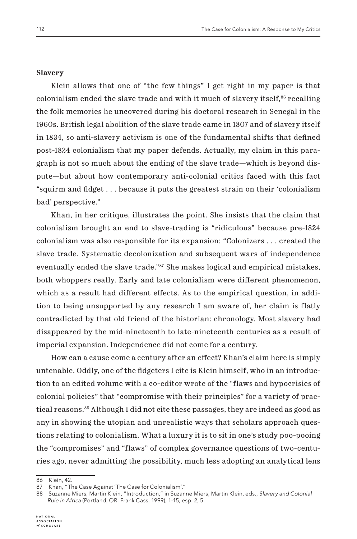#### **Slavery**

Klein allows that one of "the few things" I get right in my paper is that colonialism ended the slave trade and with it much of slavery itself, $86$  recalling the folk memories he uncovered during his doctoral research in Senegal in the 1960s. British legal abolition of the slave trade came in 1807 and of slavery itself in 1834, so anti-slavery activism is one of the fundamental shifts that defined post-1824 colonialism that my paper defends. Actually, my claim in this paragraph is not so much about the ending of the slave trade—which is beyond dispute—but about how contemporary anti-colonial critics faced with this fact "squirm and fidget . . . because it puts the greatest strain on their 'colonialism bad' perspective."

Khan, in her critique, illustrates the point. She insists that the claim that colonialism brought an end to slave-trading is "ridiculous" because pre-1824 colonialism was also responsible for its expansion: "Colonizers . . . created the slave trade. Systematic decolonization and subsequent wars of independence eventually ended the slave trade."<sup>87</sup> She makes logical and empirical mistakes, both whoppers really. Early and late colonialism were different phenomenon, which as a result had different effects. As to the empirical question, in addition to being unsupported by any research I am aware of, her claim is flatly contradicted by that old friend of the historian: chronology. Most slavery had disappeared by the mid-nineteenth to late-nineteenth centuries as a result of imperial expansion. Independence did not come for a century.

How can a cause come a century after an effect? Khan's claim here is simply untenable. Oddly, one of the fidgeters I cite is Klein himself, who in an introduction to an edited volume with a co-editor wrote of the "flaws and hypocrisies of colonial policies" that "compromise with their principles" for a variety of practical reasons.88 Although I did not cite these passages, they are indeed as good as any in showing the utopian and unrealistic ways that scholars approach questions relating to colonialism. What a luxury it is to sit in one's study poo-pooing the "compromises" and "flaws" of complex governance questions of two-centuries ago, never admitting the possibility, much less adopting an analytical lens

86 Klein, 42.

<sup>87</sup> Khan, "The Case Against 'The Case for Colonialism'."

<sup>88</sup> Suzanne Miers, Martin Klein, "Introduction," in Suzanne Miers, Martin Klein, eds., *Slavery and Colonial Rule in Africa* (Portland, OR: Frank Cass, 1999), 1-15, esp. 2, 5.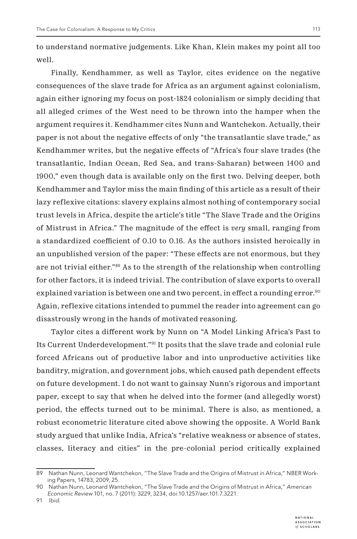to understand normative judgements. Like Khan, Klein makes my point all too well.

Finally, Kendhammer, as well as Taylor, cites evidence on the negative consequences of the slave trade for Africa as an argument against colonialism, again either ignoring my focus on post-1824 colonialism or simply deciding that all alleged crimes of the West need to be thrown into the hamper when the argument requires it. Kendhammer cites Nunn and Wantchekon. Actually, their paper is not about the negative effects of only "the transatlantic slave trade," as Kendhammer writes, but the negative effects of "Africa's four slave trades (the transatlantic, Indian Ocean, Red Sea, and trans-Saharan) between 1400 and 1900," even though data is available only on the first two. Delving deeper, both Kendhammer and Taylor miss the main finding of this article as a result of their lazy reflexive citations: slavery explains almost nothing of contemporary social trust levels in Africa, despite the article's title "The Slave Trade and the Origins of Mistrust in Africa." The magnitude of the effect is *very* small, ranging from a standardized coefficient of 0.10 to 0.16. As the authors insisted heroically in an unpublished version of the paper: "These effects are not enormous, but they are not trivial either."89 As to the strength of the relationship when controlling for other factors, it is indeed trivial. The contribution of slave exports to overall explained variation is between one and two percent, in effect a rounding error.<sup>90</sup> Again, reflexive citations intended to pummel the reader into agreement can go disastrously wrong in the hands of motivated reasoning.

Taylor cites a different work by Nunn on "A Model Linking Africa's Past to Its Current Underdevelopment."91 It posits that the slave trade and colonial rule forced Africans out of productive labor and into unproductive activities like banditry, migration, and government jobs, which caused path dependent effects on future development. I do not want to gainsay Nunn's rigorous and important paper, except to say that when he delved into the former (and allegedly worst) period, the effects turned out to be minimal. There is also, as mentioned, a robust econometric literature cited above showing the opposite. A World Bank study argued that unlike India, Africa's "relative weakness or absence of states, classes, literacy and cities" in the pre-colonial period critically explained

<sup>89</sup> Nathan Nunn, Leonard Wantchekon, "The Slave Trade and the Origins of Mistrust in Africa," NBER Working Papers, 14783, 2009, 25.

<sup>90</sup> Nathan Nunn, Leonard Wantchekon, "The Slave Trade and the Origins of Mistrust in Africa," *American Economic Review* 101, no. 7 (2011): 3229, 3234, doi:10.1257/aer.101.7.3221.

<sup>91</sup> *Ibid.*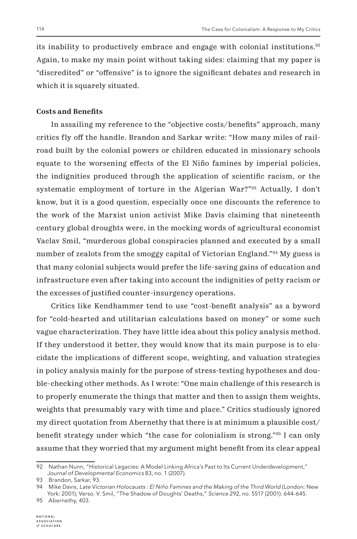its inability to productively embrace and engage with colonial institutions.92 Again, to make my main point without taking sides: claiming that my paper is "discredited" or "offensive" is to ignore the significant debates and research in which it is squarely situated.

#### **Costs and Benefits**

In assailing my reference to the "objective costs/benefits" approach, many critics fly off the handle. Brandon and Sarkar write: "How many miles of railroad built by the colonial powers or children educated in missionary schools equate to the worsening effects of the El Niño famines by imperial policies, the indignities produced through the application of scientific racism, or the systematic employment of torture in the Algerian War?"93 Actually, I don't know, but it is a good question, especially once one discounts the reference to the work of the Marxist union activist Mike Davis claiming that nineteenth century global droughts were, in the mocking words of agricultural economist Vaclav Smil, "murderous global conspiracies planned and executed by a small number of zealots from the smoggy capital of Victorian England."<sup>94</sup> My guess is that many colonial subjects would prefer the life-saving gains of education and infrastructure even after taking into account the indignities of petty racism or the excesses of justified counter-insurgency operations.

Critics like Kendhammer tend to use "cost-benefit analysis" as a byword for "cold-hearted and utilitarian calculations based on money" or some such vague characterization. They have little idea about this policy analysis method. If they understood it better, they would know that its main purpose is to elucidate the implications of different scope, weighting, and valuation strategies in policy analysis mainly for the purpose of stress-testing hypotheses and double-checking other methods. As I wrote: "One main challenge of this research is to properly enumerate the things that matter and then to assign them weights, weights that presumably vary with time and place." Critics studiously ignored my direct quotation from Abernethy that there is at minimum a plausible cost/ benefit strategy under which "the case for colonialism is strong."95 I can only assume that they worried that my argument might benefit from its clear appeal

<sup>92</sup> Nathan Nunn, "Historical Legacies: A Model Linking Africa's Past to Its Current Underdevelopment," *Journal of Developmental Economics* 83, no. 1 (2007).

<sup>93</sup> Brandon, Sarkar, 93.

<sup>94</sup> Mike Davis, Late Victorian Holocausts : El Niño Famines and the Making of the Third World (London: New York: 2001); Verso. V. Smil, "The Shadow of Doughts' Deaths," *Science* 292, no. 5517 (2001): 644-645.

<sup>95</sup> Abernethy, 403.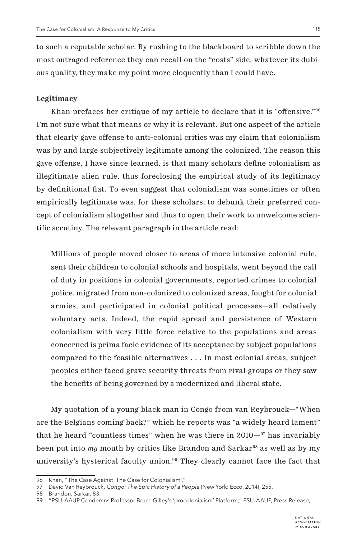to such a reputable scholar. By rushing to the blackboard to scribble down the most outraged reference they can recall on the "costs" side, whatever its dubious quality, they make my point more eloquently than I could have.

## **Legitimacy**

Khan prefaces her critique of my article to declare that it is "offensive."<sup>96</sup> I'm not sure what that means or why it is relevant. But one aspect of the article that clearly gave offense to anti-colonial critics was my claim that colonialism was by and large subjectively legitimate among the colonized. The reason this gave offense, I have since learned, is that many scholars define colonialism as illegitimate alien rule, thus foreclosing the empirical study of its legitimacy by definitional fiat. To even suggest that colonialism was sometimes or often empirically legitimate was, for these scholars, to debunk their preferred concept of colonialism altogether and thus to open their work to unwelcome scientific scrutiny. The relevant paragraph in the article read:

Millions of people moved closer to areas of more intensive colonial rule, sent their children to colonial schools and hospitals, went beyond the call of duty in positions in colonial governments, reported crimes to colonial police, migrated from non-colonized to colonized areas, fought for colonial armies, and participated in colonial political processes—all relatively voluntary acts. Indeed, the rapid spread and persistence of Western colonialism with very little force relative to the populations and areas concerned is prima facie evidence of its acceptance by subject populations compared to the feasible alternatives . . . In most colonial areas, subject peoples either faced grave security threats from rival groups or they saw the benefits of being governed by a modernized and liberal state.

My quotation of a young black man in Congo from van Reybrouck—"When are the Belgians coming back?" which he reports was "a widely heard lament" that he heard "countless times" when he was there in  $2010^{-97}$  has invariably been put into *my* mouth by critics like Brandon and Sarkar<sup>98</sup> as well as by my university's hysterical faculty union.<sup>99</sup> They clearly cannot face the fact that

<sup>96</sup> Khan, "The Case Against 'The Case for Colonialism'."

<sup>97</sup> David Van Reybrouck, *Congo: The Epic History of a People* (New York: Ecco, 2014), 255.

<sup>98</sup> Brandon, Sarkar, 83.

<sup>99 &</sup>quot;PSU-AAUP Condemns Professor Bruce Gilley's 'procolonialism' Platform," PSU-AAUP, Press Release,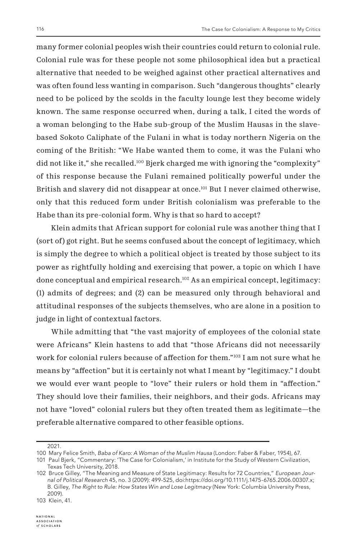many former colonial peoples wish their countries could return to colonial rule. Colonial rule was for these people not some philosophical idea but a practical alternative that needed to be weighed against other practical alternatives and was often found less wanting in comparison. Such "dangerous thoughts" clearly need to be policed by the scolds in the faculty lounge lest they become widely known. The same response occurred when, during a talk, I cited the words of a woman belonging to the Habe sub-group of the Muslim Hausas in the slavebased Sokoto Caliphate of the Fulani in what is today northern Nigeria on the coming of the British: "We Habe wanted them to come, it was the Fulani who did not like it," she recalled.100 Bjerk charged me with ignoring the "complexity" of this response because the Fulani remained politically powerful under the British and slavery did not disappear at once.<sup>101</sup> But I never claimed otherwise, only that this reduced form under British colonialism was preferable to the Habe than its pre-colonial form. Why is that so hard to accept?

Klein admits that African support for colonial rule was another thing that I (sort of) got right. But he seems confused about the concept of legitimacy, which is simply the degree to which a political object is treated by those subject to its power as rightfully holding and exercising that power, a topic on which I have done conceptual and empirical research.102 As an empirical concept, legitimacy: (1) admits of degrees; and (2) can be measured only through behavioral and attitudinal responses of the subjects themselves, who are alone in a position to judge in light of contextual factors.

While admitting that "the vast majority of employees of the colonial state were Africans" Klein hastens to add that "those Africans did not necessarily work for colonial rulers because of affection for them."<sup>103</sup> I am not sure what he means by "affection" but it is certainly not what I meant by "legitimacy." I doubt we would ever want people to "love" their rulers or hold them in "affection." They should love their families, their neighbors, and their gods. Africans may not have "loved" colonial rulers but they often treated them as legitimate—the preferable alternative compared to other feasible options.

<sup>2021.</sup>

<sup>100</sup> Mary Felice Smith, *Baba of Karo: A Woman of the Muslim Hausa* (London: Faber & Faber, 1954), 67.

<sup>101</sup> Paul Bjerk, "Commentary: 'The Case for Colonialism,' in Institute for the Study of Western Civilization, Texas Tech University, 2018.

<sup>102</sup> Bruce Gilley, "The Meaning and Measure of State Legitimacy: Results for 72 Countries," *European Journal of Political Research* 45, no. 3 (2009): 499-525, doi:https://doi.org/10.1111/j.1475-6765.2006.00307.x; B. Gilley, *The Right to Rule: How States Win and Lose Legitmacy* (New York: Columbia University Press, 2009).

<sup>103</sup> Klein, 41.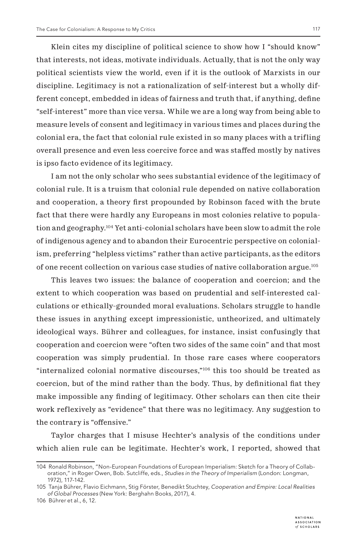Klein cites my discipline of political science to show how I "should know" that interests, not ideas, motivate individuals. Actually, that is not the only way political scientists view the world, even if it is the outlook of Marxists in our discipline. Legitimacy is not a rationalization of self-interest but a wholly different concept, embedded in ideas of fairness and truth that, if anything, define "self-interest" more than vice versa. While we are a long way from being able to measure levels of consent and legitimacy in various times and places during the colonial era, the fact that colonial rule existed in so many places with a trifling overall presence and even less coercive force and was staffed mostly by natives is ipso facto evidence of its legitimacy.

I am not the only scholar who sees substantial evidence of the legitimacy of colonial rule. It is a truism that colonial rule depended on native collaboration and cooperation, a theory first propounded by Robinson faced with the brute fact that there were hardly any Europeans in most colonies relative to population and geography.104 Yet anti-colonial scholars have been slow to admit the role of indigenous agency and to abandon their Eurocentric perspective on colonialism, preferring "helpless victims" rather than active participants, as the editors of one recent collection on various case studies of native collaboration argue.105

This leaves two issues: the balance of cooperation and coercion; and the extent to which cooperation was based on prudential and self-interested calculations or ethically-grounded moral evaluations. Scholars struggle to handle these issues in anything except impressionistic, untheorized, and ultimately ideological ways. Bührer and colleagues, for instance, insist confusingly that cooperation and coercion were "often two sides of the same coin" and that most cooperation was simply prudential. In those rare cases where cooperators "internalized colonial normative discourses,"106 this too should be treated as coercion, but of the mind rather than the body. Thus, by definitional fiat they make impossible any finding of legitimacy. Other scholars can then cite their work reflexively as "evidence" that there was no legitimacy. Any suggestion to the contrary is "offensive."

Taylor charges that I misuse Hechter's analysis of the conditions under which alien rule can be legitimate. Hechter's work, I reported, showed that

<sup>104</sup> Ronald Robinson, "Non-European Foundations of European Imperialism: Sketch for a Theory of Collaboration," in Roger Owen, Bob. Sutcliffe, eds., *Studies in the Theory of Imperialism* (London: Longman, 1972), 117-142.

<sup>105</sup> Tanja Bührer, Flavio Eichmann, Stig Förster, Benedikt Stuchtey, *Cooperation and Empire: Local Realities of Global Processes* (New York: Berghahn Books, 2017), 4.

<sup>106</sup> Bührer et al., 6, 12.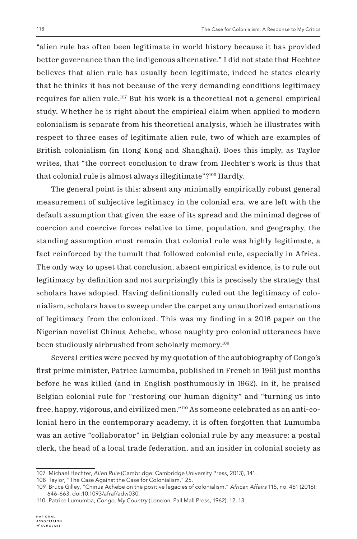"alien rule has often been legitimate in world history because it has provided better governance than the indigenous alternative." I did not state that Hechter believes that alien rule has usually been legitimate, indeed he states clearly that he thinks it has not because of the very demanding conditions legitimacy requires for alien rule.<sup>107</sup> But his work is a theoretical not a general empirical study. Whether he is right about the empirical claim when applied to modern colonialism is separate from his theoretical analysis, which he illustrates with respect to three cases of legitimate alien rule, two of which are examples of British colonialism (in Hong Kong and Shanghai). Does this imply, as Taylor writes, that "the correct conclusion to draw from Hechter's work is thus that that colonial rule is almost always illegitimate"?108 Hardly.

The general point is this: absent any minimally empirically robust general measurement of subjective legitimacy in the colonial era, we are left with the default assumption that given the ease of its spread and the minimal degree of coercion and coercive forces relative to time, population, and geography, the standing assumption must remain that colonial rule was highly legitimate, a fact reinforced by the tumult that followed colonial rule, especially in Africa. The only way to upset that conclusion, absent empirical evidence, is to rule out legitimacy by definition and not surprisingly this is precisely the strategy that scholars have adopted. Having definitionally ruled out the legitimacy of colonialism, scholars have to sweep under the carpet any unauthorized emanations of legitimacy from the colonized. This was my finding in a 2016 paper on the Nigerian novelist Chinua Achebe, whose naughty pro-colonial utterances have been studiously airbrushed from scholarly memory.<sup>109</sup>

Several critics were peeved by my quotation of the autobiography of Congo's first prime minister, Patrice Lumumba, published in French in 1961 just months before he was killed (and in English posthumously in 1962). In it, he praised Belgian colonial rule for "restoring our human dignity" and "turning us into free, happy, vigorous, and civilized men."110 As someone celebrated as an anti-colonial hero in the contemporary academy, it is often forgotten that Lumumba was an active "collaborator" in Belgian colonial rule by any measure: a postal clerk, the head of a local trade federation, and an insider in colonial society as

<sup>107</sup> Michael Hechter, *Alien Rule* (Cambridge: Cambridge University Press, 2013), 141.

<sup>108</sup> Taylor, "The Case Against the Case for Colonialism," 25.

<sup>109</sup> Bruce Gilley, "Chinua Achebe on the positive legacies of colonialism," *African Affairs* 115, no. 461 (2016): 646-663, doi:10.1093/afraf/adw030.

<sup>110</sup> Patrice Lumumba, *Congo, My Country* (London: Pall Mall Press, 1962), 12, 13.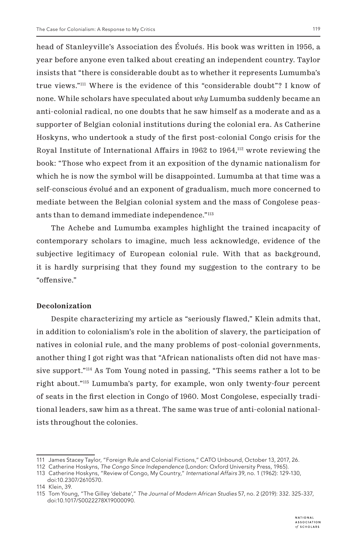head of Stanleyville's Association des Évolués. His book was written in 1956, a year before anyone even talked about creating an independent country. Taylor insists that "there is considerable doubt as to whether it represents Lumumba's true views."111 Where is the evidence of this "considerable doubt"? I know of none. While scholars have speculated about *why* Lumumba suddenly became an anti-colonial radical, no one doubts that he saw himself as a moderate and as a supporter of Belgian colonial institutions during the colonial era. As Catherine Hoskyns, who undertook a study of the first post-colonial Congo crisis for the Royal Institute of International Affairs in 1962 to  $1964$ ,<sup>112</sup> wrote reviewing the book: "Those who expect from it an exposition of the dynamic nationalism for which he is now the symbol will be disappointed. Lumumba at that time was a self-conscious évolué and an exponent of gradualism, much more concerned to mediate between the Belgian colonial system and the mass of Congolese peasants than to demand immediate independence."<sup>113</sup>

The Achebe and Lumumba examples highlight the trained incapacity of contemporary scholars to imagine, much less acknowledge, evidence of the subjective legitimacy of European colonial rule. With that as background, it is hardly surprising that they found my suggestion to the contrary to be "offensive."

#### **Decolonization**

Despite characterizing my article as "seriously flawed," Klein admits that, in addition to colonialism's role in the abolition of slavery, the participation of natives in colonial rule, and the many problems of post-colonial governments, another thing I got right was that "African nationalists often did not have massive support."114 As Tom Young noted in passing, "This seems rather a lot to be right about."115 Lumumba's party, for example, won only twenty-four percent of seats in the first election in Congo of 1960. Most Congolese, especially traditional leaders, saw him as a threat. The same was true of anti-colonial nationalists throughout the colonies.

<sup>111</sup> James Stacey Taylor, "Foreign Rule and Colonial Fictions," CATO Unbound, October 13, 2017, 26.

<sup>112</sup> Catherine Hoskyns, *The Congo Since Independence* (London: Oxford University Press, 1965).

<sup>113</sup> Catherine Hoskyns, "Review of Congo, My Country," *International Affairs* 39, no. 1 (1962): 129-130, doi:10.2307/2610570.

<sup>114</sup> Klein, 39.

<sup>115</sup> Tom Young, "The Gilley 'debate'," *The Journal of Modern African Studies* 57, no. 2 (2019): 332. 325-337, doi:10.1017/S0022278X19000090.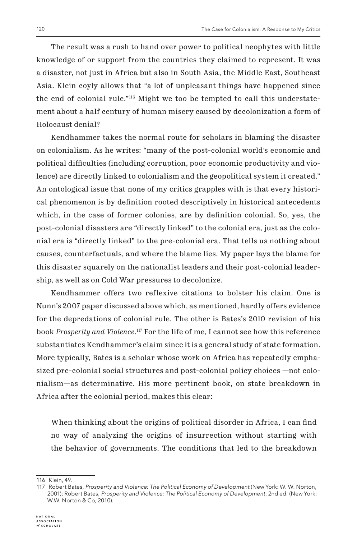The result was a rush to hand over power to political neophytes with little knowledge of or support from the countries they claimed to represent. It was a disaster, not just in Africa but also in South Asia, the Middle East, Southeast Asia. Klein coyly allows that "a lot of unpleasant things have happened since the end of colonial rule."116 Might we too be tempted to call this understatement about a half century of human misery caused by decolonization a form of Holocaust denial?

Kendhammer takes the normal route for scholars in blaming the disaster on colonialism. As he writes: "many of the post-colonial world's economic and political difficulties (including corruption, poor economic productivity and violence) are directly linked to colonialism and the geopolitical system it created." An ontological issue that none of my critics grapples with is that every historical phenomenon is by definition rooted descriptively in historical antecedents which, in the case of former colonies, are by definition colonial. So, yes, the post-colonial disasters are "directly linked" to the colonial era, just as the colonial era is "directly linked" to the pre-colonial era. That tells us nothing about causes, counterfactuals, and where the blame lies. My paper lays the blame for this disaster squarely on the nationalist leaders and their post-colonial leadership, as well as on Cold War pressures to decolonize.

Kendhammer offers two reflexive citations to bolster his claim. One is Nunn's 2007 paper discussed above which, as mentioned, hardly offers evidence for the depredations of colonial rule. The other is Bates's 2010 revision of his book *Prosperity and Violence*. 117 For the life of me, I cannot see how this reference substantiates Kendhammer's claim since it is a general study of state formation. More typically, Bates is a scholar whose work on Africa has repeatedly emphasized pre-colonial social structures and post-colonial policy choices —not colonialism—as determinative. His more pertinent book, on state breakdown in Africa after the colonial period, makes this clear:

When thinking about the origins of political disorder in Africa, I can find no way of analyzing the origins of insurrection without starting with the behavior of governments. The conditions that led to the breakdown

<sup>116</sup> Klein, 49.

<sup>117</sup> Robert Bates, *Prosperity and Violence: The Political Economy of Development* (New York: W. W. Norton, 2001); Robert Bates, *Prosperity and Violence: The Political Economy of Development*, 2nd ed. (New York: W.W. Norton & Co, 2010).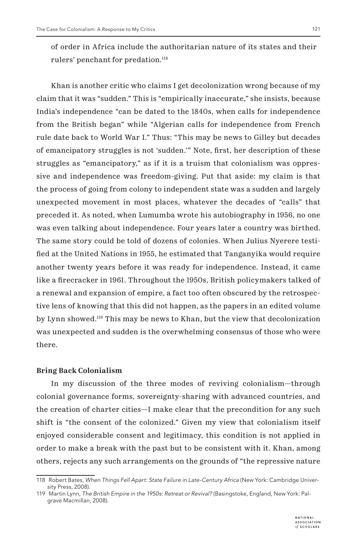of order in Africa include the authoritarian nature of its states and their rulers' penchant for predation.<sup>118</sup>

Khan is another critic who claims I get decolonization wrong because of my claim that it was "sudden." This is "empirically inaccurate," she insists, because India's independence "can be dated to the 1840s, when calls for independence from the British began" while "Algerian calls for independence from French rule date back to World War I." Thus: "This may be news to Gilley but decades of emancipatory struggles is not 'sudden.'" Note, first, her description of these struggles as "emancipatory," as if it is a truism that colonialism was oppressive and independence was freedom-giving. Put that aside: my claim is that the process of going from colony to independent state was a sudden and largely unexpected movement in most places, whatever the decades of "calls" that preceded it. As noted, when Lumumba wrote his autobiography in 1956, no one was even talking about independence. Four years later a country was birthed. The same story could be told of dozens of colonies. When Julius Nyerere testified at the United Nations in 1955, he estimated that Tanganyika would require another twenty years before it was ready for independence. Instead, it came like a firecracker in 1961. Throughout the 1950s, British policymakers talked of a renewal and expansion of empire, a fact too often obscured by the retrospective lens of knowing that this did not happen, as the papers in an edited volume by Lynn showed.119 This may be news to Khan, but the view that decolonization was unexpected and sudden is the overwhelming consensus of those who were there.

#### **Bring Back Colonialism**

In my discussion of the three modes of reviving colonialism—through colonial governance forms, sovereignty-sharing with advanced countries, and the creation of charter cities—I make clear that the precondition for any such shift is "the consent of the colonized." Given my view that colonialism itself enjoyed considerable consent and legitimacy, this condition is not applied in order to make a break with the past but to be consistent with it. Khan, among others, rejects any such arrangements on the grounds of "the repressive nature

<sup>118</sup> Robert Bates, *When Things Fell Apart: State Failure in Late-Century Africa* (New York: Cambridge University Press, 2008).

<sup>119</sup> Martin Lynn, *The British Empire in the 1950s: Retreat or Revival?* (Basingstoke, England, New York: Palgrave Macmillan, 2008).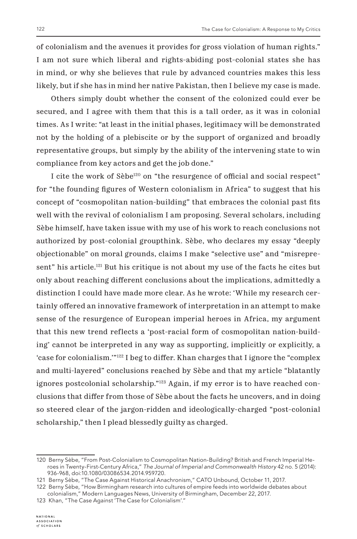of colonialism and the avenues it provides for gross violation of human rights." I am not sure which liberal and rights-abiding post-colonial states she has in mind, or why she believes that rule by advanced countries makes this less likely, but if she has in mind her native Pakistan, then I believe my case is made.

Others simply doubt whether the consent of the colonized could ever be secured, and I agree with them that this is a tall order, as it was in colonial times. As I write: "at least in the initial phases, legitimacy will be demonstrated not by the holding of a plebiscite or by the support of organized and broadly representative groups, but simply by the ability of the intervening state to win compliance from key actors and get the job done."

I cite the work of Sèbe<sup>120</sup> on "the resurgence of official and social respect" for "the founding figures of Western colonialism in Africa" to suggest that his concept of "cosmopolitan nation-building" that embraces the colonial past fits well with the revival of colonialism I am proposing. Several scholars, including Sèbe himself, have taken issue with my use of his work to reach conclusions not authorized by post-colonial groupthink. Sèbe, who declares my essay "deeply objectionable" on moral grounds, claims I make "selective use" and "misrepresent" his article.121 But his critique is not about my use of the facts he cites but only about reaching different conclusions about the implications, admittedly a distinction I could have made more clear. As he wrote: 'While my research certainly offered an innovative framework of interpretation in an attempt to make sense of the resurgence of European imperial heroes in Africa, my argument that this new trend reflects a 'post-racial form of cosmopolitan nation-building' cannot be interpreted in any way as supporting, implicitly or explicitly, a 'case for colonialism.'"122 I beg to differ. Khan charges that I ignore the "complex and multi-layered" conclusions reached by Sèbe and that my article "blatantly ignores postcolonial scholarship."123 Again, if my error is to have reached conclusions that differ from those of Sèbe about the facts he uncovers, and in doing so steered clear of the jargon-ridden and ideologically-charged "post-colonial scholarship," then I plead blessedly guilty as charged.

<sup>120</sup> Berny Sèbe, "From Post-Colonialism to Cosmopolitan Nation-Building? British and French Imperial Heroes in Twenty-First-Century Africa," *The Journal of Imperial and Commonwealth History* 42 no. 5 (2014): 936-968, doi:10.1080/03086534.2014.959720.

<sup>121</sup> Berny Sèbe, "The Case Against Historical Anachronism," CATO Unbound, October 11, 2017.

<sup>122</sup> Berny Sèbe, "How Birmingham research into cultures of empire feeds into worldwide debates about colonialism," Modern Languages News, University of Birmingham, December 22, 2017.

<sup>123</sup> Khan, "The Case Against 'The Case for Colonialism'."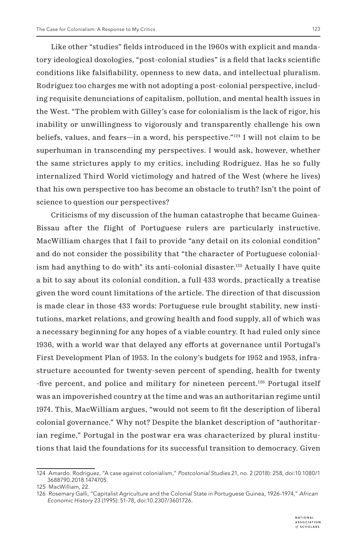Like other "studies" fields introduced in the 1960s with explicit and mandatory ideological doxologies, "post-colonial studies" is a field that lacks scientific conditions like falsifiability, openness to new data, and intellectual pluralism. Rodriguez too charges me with not adopting a post-colonial perspective, including requisite denunciations of capitalism, pollution, and mental health issues in the West. "The problem with Gilley's case for colonialism is the lack of rigor, his inability or unwillingness to vigorously and transparently challenge his own beliefs, values, and fears—in a word, his perspective."124 I will not claim to be superhuman in transcending my perspectives. I would ask, however, whether the same strictures apply to my critics, including Rodriguez. Has he so fully internalized Third World victimology and hatred of the West (where he lives) that his own perspective too has become an obstacle to truth? Isn't the point of science to question our perspectives?

Criticisms of my discussion of the human catastrophe that became Guinea-Bissau after the flight of Portuguese rulers are particularly instructive. MacWilliam charges that I fail to provide "any detail on its colonial condition" and do not consider the possibility that "the character of Portuguese colonialism had anything to do with" its anti-colonial disaster.125 Actually I have quite a bit to say about its colonial condition, a full 433 words, practically a treatise given the word count limitations of the article. The direction of that discussion is made clear in those 433 words: Portuguese rule brought stability, new institutions, market relations, and growing health and food supply, all of which was a necessary beginning for any hopes of a viable country. It had ruled only since 1936, with a world war that delayed any efforts at governance until Portugal's First Development Plan of 1953. In the colony's budgets for 1952 and 1953, infrastructure accounted for twenty-seven percent of spending, health for twenty -five percent, and police and military for nineteen percent.126 Portugal itself was an impoverished country at the time and was an authoritarian regime until 1974. This, MacWilliam argues, "would not seem to fit the description of liberal colonial governance." Why not? Despite the blanket description of "authoritarian regime," Portugal in the postwar era was characterized by plural institutions that laid the foundations for its successful transition to democracy. Given

<sup>124</sup> Amardo. Rodriguez, "A case against colonialism," *Postcolonial Studies* 21, no. 2 (2018): 258, doi:10.1080/1 3688790.2018.1474705.

<sup>125</sup> MacWilliam, 22.

<sup>126</sup> Rosemary Galli, "Capitalist Agriculture and the Colonial State in Portuguese Guinea, 1926-1974," *African Economic History* 23 (1995): 51-78, doi:10.2307/3601726.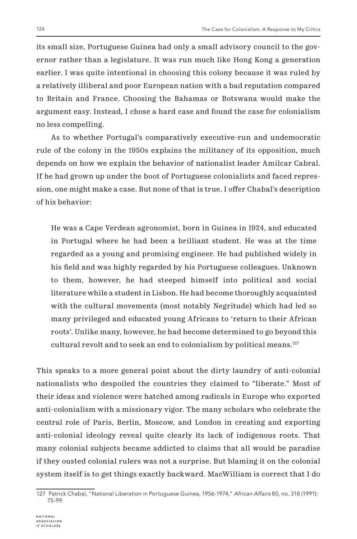its small size, Portuguese Guinea had only a small advisory council to the governor rather than a legislature. It was run much like Hong Kong a generation earlier. I was quite intentional in choosing this colony because it was ruled by a relatively illiberal and poor European nation with a bad reputation compared to Britain and France. Choosing the Bahamas or Botswana would make the argument easy. Instead, I chose a hard case and found the case for colonialism no less compelling.

As to whether Portugal's comparatively executive-run and undemocratic rule of the colony in the 1950s explains the militancy of its opposition, much depends on how we explain the behavior of nationalist leader Amilcar Cabral. If he had grown up under the boot of Portuguese colonialists and faced repression, one might make a case. But none of that is true. I offer Chabal's description of his behavior:

He was a Cape Verdean agronomist, born in Guinea in 1924, and educated in Portugal where he had been a brilliant student. He was at the time regarded as a young and promising engineer. He had published widely in his field and was highly regarded by his Portuguese colleagues. Unknown to them, however, he had steeped himself into political and social literature while a student in Lisbon. He had become thoroughly acquainted with the cultural movements (most notably Negritude) which had led so many privileged and educated young Africans to 'return to their African roots'. Unlike many, however, he had become determined to go beyond this cultural revolt and to seek an end to colonialism by political means.127

This speaks to a more general point about the dirty laundry of anti-colonial nationalists who despoiled the countries they claimed to "liberate." Most of their ideas and violence were hatched among radicals in Europe who exported anti-colonialism with a missionary vigor. The many scholars who celebrate the central role of Paris, Berlin, Moscow, and London in creating and exporting anti-colonial ideology reveal quite clearly its lack of indigenous roots. That many colonial subjects became addicted to claims that all would be paradise if they ousted colonial rulers was not a surprise. But blaming it on the colonial system itself is to get things exactly backward. MacWilliam is correct that I do

<sup>127</sup> Patrick Chabal, "National Liberation in Portuguese Guinea, 1956-1974," *African Affairs* 80, no. 318 (1991): 75-99.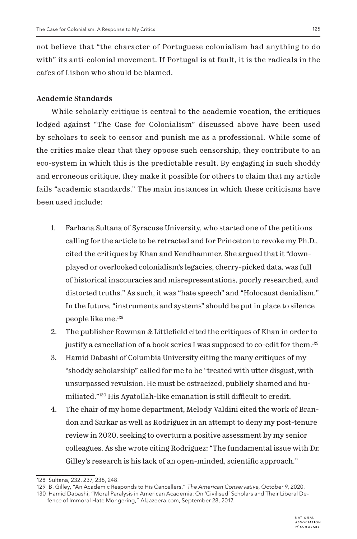not believe that "the character of Portuguese colonialism had anything to do with" its anti-colonial movement. If Portugal is at fault, it is the radicals in the cafes of Lisbon who should be blamed.

## **Academic Standards**

While scholarly critique is central to the academic vocation, the critiques lodged against "The Case for Colonialism" discussed above have been used by scholars to seek to censor and punish me as a professional. While some of the critics make clear that they oppose such censorship, they contribute to an eco-system in which this is the predictable result. By engaging in such shoddy and erroneous critique, they make it possible for others to claim that my article fails "academic standards." The main instances in which these criticisms have been used include:

- 1. Farhana Sultana of Syracuse University, who started one of the petitions calling for the article to be retracted and for Princeton to revoke my Ph.D., cited the critiques by Khan and Kendhammer. She argued that it "downplayed or overlooked colonialism's legacies, cherry-picked data, was full of historical inaccuracies and misrepresentations, poorly researched, and distorted truths." As such, it was "hate speech" and "Holocaust denialism." In the future, "instruments and systems" should be put in place to silence people like me.128
- 2. The publisher Rowman & Littlefield cited the critiques of Khan in order to justify a cancellation of a book series I was supposed to co-edit for them.<sup>129</sup>
- 3. Hamid Dabashi of Columbia University citing the many critiques of my "shoddy scholarship" called for me to be "treated with utter disgust, with unsurpassed revulsion. He must be ostracized, publicly shamed and humiliated."130 His Ayatollah-like emanation is still difficult to credit.
- 4. The chair of my home department, Melody Valdini cited the work of Brandon and Sarkar as well as Rodriguez in an attempt to deny my post-tenure review in 2020, seeking to overturn a positive assessment by my senior colleagues. As she wrote citing Rodriguez: "The fundamental issue with Dr. Gilley's research is his lack of an open-minded, scientific approach."

<sup>128</sup> Sultana, 232, 237, 238, 248.

<sup>129</sup> B. Gilley, "An Academic Responds to His Cancellers," *The American Conservative,* October 9, 2020.

<sup>130</sup> Hamid Dabashi, "Moral Paralysis in American Academia: On 'Civilised' Scholars and Their Liberal Defence of Immoral Hate Mongering," AlJazeera.com, September 28, 2017.